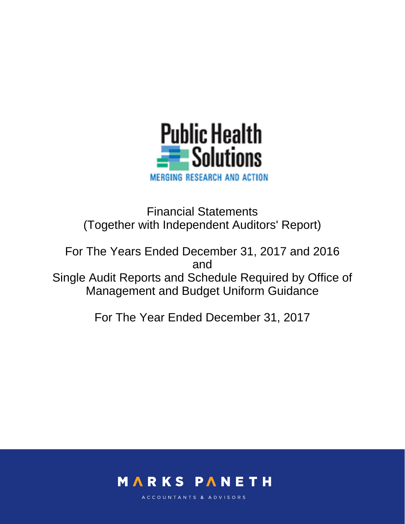

Financial Statements (Together with Independent Auditors' Report)

For The Years Ended December 31, 2017 and 2016 and Single Audit Reports and Schedule Required by Office of Management and Budget Uniform Guidance

For The Year Ended December 31, 2017



ACCOUNTANTS & ADVISORS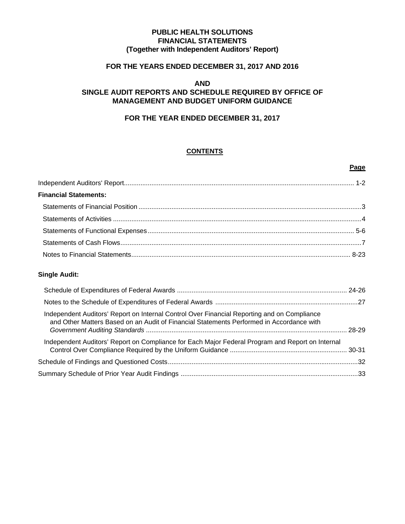# **PUBLIC HEALTH SOLUTIONS FINANCIAL STATEMENTS (Together with Independent Auditors' Report)**

# **FOR THE YEARS ENDED DECEMBER 31, 2017 AND 2016**

#### **AND**

# **SINGLE AUDIT REPORTS AND SCHEDULE REQUIRED BY OFFICE OF MANAGEMENT AND BUDGET UNIFORM GUIDANCE**

# **FOR THE YEAR ENDED DECEMBER 31, 2017**

# **CONTENTS**

|                              | Page |
|------------------------------|------|
|                              |      |
| <b>Financial Statements:</b> |      |
|                              |      |
|                              |      |
|                              |      |
|                              |      |
|                              |      |

#### **Single Audit:**

| Independent Auditors' Report on Internal Control Over Financial Reporting and on Compliance<br>and Other Matters Based on an Audit of Financial Statements Performed in Accordance with |  |
|-----------------------------------------------------------------------------------------------------------------------------------------------------------------------------------------|--|
| Independent Auditors' Report on Compliance for Each Major Federal Program and Report on Internal                                                                                        |  |
|                                                                                                                                                                                         |  |
|                                                                                                                                                                                         |  |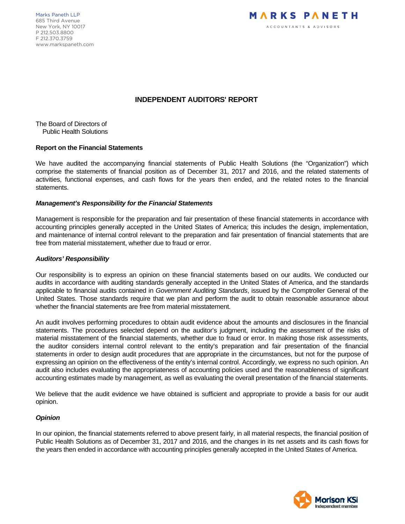Marks Paneth LLP 685 Third Avenue New York, NY 10017 P 212.503.8800 F 212.370.3759 www.markspaneth.com



# **INDEPENDENT AUDITORS' REPORT**

The Board of Directors of Public Health Solutions

#### **Report on the Financial Statements**

We have audited the accompanying financial statements of Public Health Solutions (the "Organization") which comprise the statements of financial position as of December 31, 2017 and 2016, and the related statements of activities, functional expenses, and cash flows for the years then ended, and the related notes to the financial **statements** 

#### *Management's Responsibility for the Financial Statements*

Management is responsible for the preparation and fair presentation of these financial statements in accordance with accounting principles generally accepted in the United States of America; this includes the design, implementation, and maintenance of internal control relevant to the preparation and fair presentation of financial statements that are free from material misstatement, whether due to fraud or error.

#### *Auditors' Responsibility*

Our responsibility is to express an opinion on these financial statements based on our audits. We conducted our audits in accordance with auditing standards generally accepted in the United States of America, and the standards applicable to financial audits contained in *Government Auditing Standards*, issued by the Comptroller General of the United States. Those standards require that we plan and perform the audit to obtain reasonable assurance about whether the financial statements are free from material misstatement.

An audit involves performing procedures to obtain audit evidence about the amounts and disclosures in the financial statements. The procedures selected depend on the auditor's judgment, including the assessment of the risks of material misstatement of the financial statements, whether due to fraud or error. In making those risk assessments, the auditor considers internal control relevant to the entity's preparation and fair presentation of the financial statements in order to design audit procedures that are appropriate in the circumstances, but not for the purpose of expressing an opinion on the effectiveness of the entity's internal control. Accordingly, we express no such opinion. An audit also includes evaluating the appropriateness of accounting policies used and the reasonableness of significant accounting estimates made by management, as well as evaluating the overall presentation of the financial statements.

We believe that the audit evidence we have obtained is sufficient and appropriate to provide a basis for our audit opinion.

#### *Opinion*

In our opinion, the financial statements referred to above present fairly, in all material respects, the financial position of Public Health Solutions as of December 31, 2017 and 2016, and the changes in its net assets and its cash flows for the years then ended in accordance with accounting principles generally accepted in the United States of America.

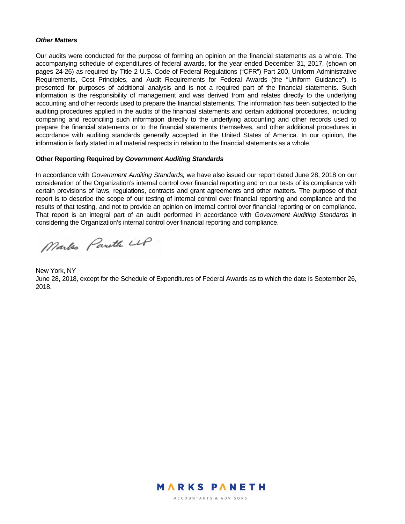#### *Other Matters*

Our audits were conducted for the purpose of forming an opinion on the financial statements as a whole. The accompanying schedule of expenditures of federal awards, for the year ended December 31, 2017, (shown on pages 24-26) as required by Title 2 U.S. Code of Federal Regulations ("CFR") Part 200, Uniform Administrative Requirements, Cost Principles, and Audit Requirements for Federal Awards (the "Uniform Guidance"), is presented for purposes of additional analysis and is not a required part of the financial statements. Such information is the responsibility of management and was derived from and relates directly to the underlying accounting and other records used to prepare the financial statements. The information has been subjected to the auditing procedures applied in the audits of the financial statements and certain additional procedures, including comparing and reconciling such information directly to the underlying accounting and other records used to prepare the financial statements or to the financial statements themselves, and other additional procedures in accordance with auditing standards generally accepted in the United States of America. In our opinion, the information is fairly stated in all material respects in relation to the financial statements as a whole.

#### **Other Reporting Required by** *Government Auditing Standards*

In accordance with *Government Auditing Standards,* we have also issued our report dated June 28, 2018 on our consideration of the Organization's internal control over financial reporting and on our tests of its compliance with certain provisions of laws, regulations, contracts and grant agreements and other matters. The purpose of that report is to describe the scope of our testing of internal control over financial reporting and compliance and the results of that testing, and not to provide an opinion on internal control over financial reporting or on compliance. That report is an integral part of an audit performed in accordance with *Government Auditing Standards* in considering the Organization's internal control over financial reporting and compliance.

Marks Pareth LLP

New York, NY June 28, 2018, except for the Schedule of Expenditures of Federal Awards as to which the date is September 26, 2018.



ACCOUNTANTS & ADVISORS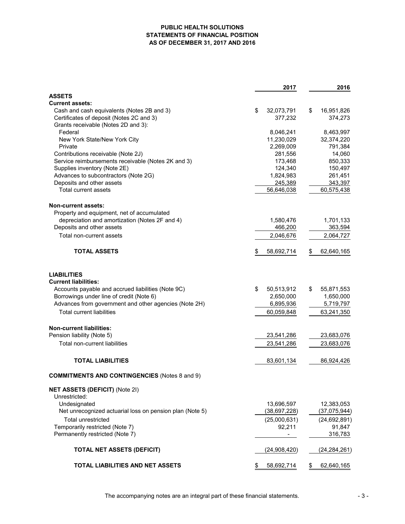#### **PUBLIC HEALTH SOLUTIONS STATEMENTS OF FINANCIAL POSITION AS OF DECEMBER 31, 2017 AND 2016**

|                                                          | 2017                     | 2016             |
|----------------------------------------------------------|--------------------------|------------------|
| <b>ASSETS</b>                                            |                          |                  |
| <b>Current assets:</b>                                   |                          |                  |
| Cash and cash equivalents (Notes 2B and 3)               | \$<br>32,073,791         | \$<br>16,951,826 |
| Certificates of deposit (Notes 2C and 3)                 | 377,232                  | 374,273          |
| Grants receivable (Notes 2D and 3):                      |                          |                  |
| Federal                                                  | 8,046,241                | 8,463,997        |
| New York State/New York City                             | 11,230,029               | 32,374,220       |
| Private                                                  | 2,269,009                | 791,384          |
| Contributions receivable (Note 2J)                       | 281,556                  | 14,060           |
| Service reimbursements receivable (Notes 2K and 3)       | 173,468                  | 850,333          |
| Supplies inventory (Note 2E)                             | 124,340                  | 150,497          |
| Advances to subcontractors (Note 2G)                     | 1,824,983                | 261,451          |
| Deposits and other assets                                | 245,389                  | 343,397          |
| Total current assets                                     | 56,646,038               | 60,575,438       |
| <b>Non-current assets:</b>                               |                          |                  |
| Property and equipment, net of accumulated               |                          |                  |
| depreciation and amortization (Notes 2F and 4)           | 1,580,476                | 1,701,133        |
| Deposits and other assets                                | 466,200                  | 363,594          |
| Total non-current assets                                 | 2,046,676                | 2,064,727        |
| <b>TOTAL ASSETS</b>                                      | 58,692,714<br>\$         | 62,640,165<br>\$ |
| <b>LIABILITIES</b>                                       |                          |                  |
| <b>Current liabilities:</b>                              |                          |                  |
| Accounts payable and accrued liabilities (Note 9C)       | \$<br>50,513,912         | 55,871,553<br>\$ |
| Borrowings under line of credit (Note 6)                 | 2,650,000                | 1,650,000        |
| Advances from government and other agencies (Note 2H)    | 6,895,936                | 5,719,797        |
| <b>Total current liabilities</b>                         | 60,059,848               | 63,241,350       |
| <b>Non-current liabilities:</b>                          |                          |                  |
| Pension liability (Note 5)                               | 23,541,286               | 23,683,076       |
| Total non-current liabilities                            | 23,541,286               | 23,683,076       |
| <b>TOTAL LIABILITIES</b>                                 | 83,601,134               | 86,924,426       |
| <b>COMMITMENTS AND CONTINGENCIES (Notes 8 and 9)</b>     |                          |                  |
| <b>NET ASSETS (DEFICIT) (Note 2I)</b>                    |                          |                  |
| Unrestricted:                                            |                          |                  |
| Undesignated                                             | 13,696,597               | 12,383,053       |
| Net unrecognized actuarial loss on pension plan (Note 5) | (38, 697, 228)           | (37,075,944)     |
| <b>Total unrestricted</b>                                | (25,000,631)             | (24, 692, 891)   |
| Temporarily restricted (Note 7)                          | 92,211                   | 91,847           |
| Permanently restricted (Note 7)                          | $\overline{\phantom{a}}$ | 316,783          |
| <b>TOTAL NET ASSETS (DEFICIT)</b>                        | (24,908,420)             | (24, 284, 261)   |
| TOTAL LIABILITIES AND NET ASSETS                         | 58,692,714<br>\$         | \$<br>62,640,165 |

The accompanying notes are an integral part of these financial statements.  $\sim$  3 -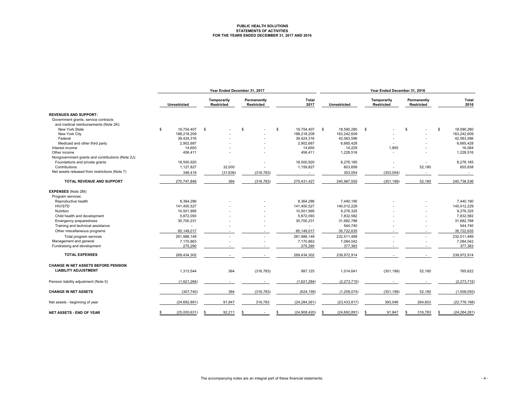#### **PUBLIC HEALTH SOLUTIONS STATEMENTS OF ACTIVITIES FOR THE YEARS ENDED DECEMBER 31, 2017 AND 2016**

|                                                   |    | Year Ended December 31, 2017 |                           |           |                           |          |                | Year Ended December 31, 2016 |                      |    |                           |    |                           |                      |
|---------------------------------------------------|----|------------------------------|---------------------------|-----------|---------------------------|----------|----------------|------------------------------|----------------------|----|---------------------------|----|---------------------------|----------------------|
|                                                   |    | <b>Unrestricted</b>          | Temporarily<br>Restricted |           | Permanently<br>Restricted |          | Total<br>2017  |                              | Unrestricted         |    | Temporarily<br>Restricted |    | Permanently<br>Restricted | <b>Total</b><br>2016 |
| <b>REVENUES AND SUPPORT:</b>                      |    |                              |                           |           |                           |          |                |                              |                      |    |                           |    |                           |                      |
| Government grants, service contracts              |    |                              |                           |           |                           |          |                |                              |                      |    |                           |    |                           |                      |
| and medical reimbursements (Note 2K):             |    |                              |                           |           |                           |          |                |                              |                      |    |                           |    |                           |                      |
| New York State                                    | s  | 19,754,407                   | \$                        |           | \$                        | <b>S</b> | 19,754,407     | \$                           | 18,590,280           | \$ |                           | S. |                           | \$<br>18,590,280     |
| New York City                                     |    | 188.218.209                  |                           |           |                           |          | 188,218,209    |                              | 163,242,609          |    |                           |    |                           | 163,242,609          |
| Federal                                           |    | 39,424,316                   |                           |           |                           |          | 39,424,316     |                              | 42,063,596           |    |                           |    |                           | 42,063,596           |
| Medicaid and other third party                    |    | 2,902,687                    |                           |           |                           |          | 2,902,687      |                              | 6,665,428            |    |                           |    |                           | 6,665,428            |
| Interest income                                   |    | 14,650                       |                           |           |                           |          | 14,650         |                              | 14,229               |    | 1,855                     |    |                           | 16,084               |
| Other income                                      |    | 456,411                      |                           |           |                           |          | 456,411        |                              | 1,228,516            |    |                           |    |                           | 1,228,516            |
| Nongovernment grants and contributions (Note 2J): |    |                              |                           |           |                           |          |                |                              |                      |    |                           |    |                           |                      |
| Foundations and private grants                    |    | 18,500,920                   |                           |           |                           |          | 18,500,920     |                              | 8,276,185            |    |                           |    | ٠                         | 8,276,185            |
| Contributions                                     |    | 1,127,827                    |                           | 32,000    |                           |          | 1,159,827      |                              | 603,658              |    |                           |    | 52,180                    | 655,838              |
| Net assets released from restrictions (Note 7)    |    | 348,419                      |                           | (31, 636) | (316, 783)                |          |                |                              | 303,054              |    | (303, 054)                |    | $\overline{\phantom{a}}$  | $\sim$               |
| TOTAL REVENUE AND SUPPORT                         |    | 270,747,846                  |                           | 364       | (316, 783)                |          | 270,431,427    |                              | 240,987,555          |    | (301, 199)                |    | 52,180                    | 240,738,536          |
| <b>EXPENSES</b> (Note 2M):                        |    |                              |                           |           |                           |          |                |                              |                      |    |                           |    |                           |                      |
| Program services:                                 |    |                              |                           |           |                           |          |                |                              |                      |    |                           |    |                           |                      |
| Reproductive health                               |    | 8,364,286                    |                           |           |                           |          | 8,364,286      |                              | 7,440,190            |    |                           |    |                           | 7,440,190            |
| HIV/STD                                           |    | 141,400,527                  |                           |           |                           |          | 141,400,527    |                              | 140,012,229          |    |                           |    |                           | 140,012,229          |
| Nutrition                                         |    | 10.501.995                   |                           |           |                           |          | 10,501,995     |                              | 9.276.325            |    |                           |    |                           | 9,276,325            |
| Child health and development                      |    | 5,872,093                    |                           |           |                           |          | 5,872,093      |                              | 7,832,582            |    |                           |    |                           | 7,832,582            |
| Emergency preparedness                            |    | 30,700,231                   |                           |           |                           |          | 30,700,231     |                              | 31,682,788           |    |                           |    |                           | 31,682,788           |
| Training and technical assistance                 |    |                              |                           |           |                           |          |                |                              | 544,740              |    |                           |    |                           | 544,740              |
| Other miscellaneous programs                      |    | 65,149,017                   |                           |           |                           |          | 65,149,017     |                              | 35,722,635           |    |                           |    |                           | 35,722,635           |
| Total program services                            |    | 261,988,149                  |                           |           |                           |          | 261,988,149    |                              | 232,511,489          |    |                           |    |                           | 232,511,489          |
| Management and general                            |    |                              |                           |           |                           |          |                |                              |                      |    |                           |    |                           |                      |
|                                                   |    | 7,170,863                    |                           |           |                           |          | 7,170,863      |                              | 7,084,042<br>377,383 |    |                           |    |                           | 7,084,042<br>377,383 |
| Fundraising and development                       |    | 275,290                      |                           |           |                           |          | 275,290        |                              |                      |    |                           |    |                           |                      |
| <b>TOTAL EXPENSES</b>                             |    | 269,434,302                  |                           |           |                           |          | 269,434,302    |                              | 239,972,914          |    |                           |    |                           | 239,972,914          |
| <b>CHANGE IN NET ASSETS BEFORE PENSION</b>        |    |                              |                           |           |                           |          |                |                              |                      |    |                           |    |                           |                      |
| <b>LIABILITY ADJUSTMENT</b>                       |    | 1,313,544                    |                           | 364       | (316, 783)                |          | 997,125        |                              | 1,014,641            |    | (301, 199)                |    | 52,180                    | 765,622              |
| Pension liability adjustment (Note 5)             |    | (1,621,284)                  |                           |           |                           |          | (1,621,284)    |                              | (2, 273, 715)        |    |                           |    |                           | (2, 273, 715)        |
| <b>CHANGE IN NET ASSETS</b>                       |    | (307,740)                    |                           | 364       | (316, 783)                |          | (624, 159)     |                              | (1,259,074)          |    | (301, 199)                |    | 52,180                    | (1,508,093)          |
| Net assets - beginning of year                    |    | (24, 692, 891)               |                           | 91,847    | 316,783                   |          | (24, 284, 261) |                              | (23, 433, 817)       |    | 393,046                   |    | 264,603                   | (22,776,168)         |
| <b>NET ASSETS - END OF YEAR</b>                   | £. | (25,000,631)                 | \$                        | 92,211    | S                         |          | (24,908,420)   | -S                           | (24, 692, 891)       | \$ | 91,847                    | \$ | 316,783                   | (24, 284, 261)<br>£. |
|                                                   |    |                              |                           |           |                           |          |                |                              |                      |    |                           |    |                           |                      |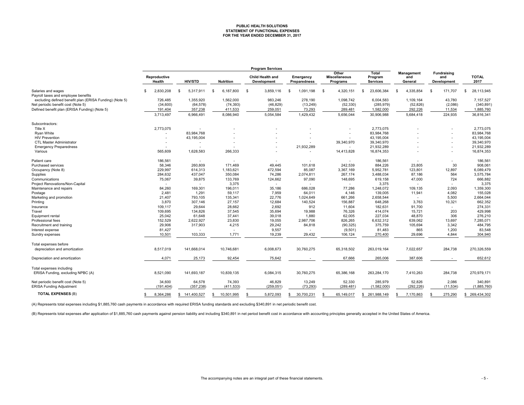#### **PUBLIC HEALTH SOLUTIONS STATEMENT OF FUNCTIONAL EXPENSES FOR THE YEAR ENDED DECEMBER 31, 2017**

|                                                                                     | <b>Program Services</b> |                        |    |                      |    |                      |    |                                 |                    |                           |     |                                           |          |                                     |    |                              |    |                                          |                      |                         |
|-------------------------------------------------------------------------------------|-------------------------|------------------------|----|----------------------|----|----------------------|----|---------------------------------|--------------------|---------------------------|-----|-------------------------------------------|----------|-------------------------------------|----|------------------------------|----|------------------------------------------|----------------------|-------------------------|
|                                                                                     |                         | Reproductive<br>Health |    | <b>HIV/STD</b>       |    | <b>Nutrition</b>     |    | Child Health and<br>Development |                    | Emergency<br>Preparedness |     | Other<br><b>Miscellaneous</b><br>Programs |          | Total<br>Program<br><b>Services</b> |    | Management<br>and<br>General |    | <b>Fundraising</b><br>and<br>Development | <b>TOTAL</b><br>2017 |                         |
| Salaries and wages                                                                  | S                       | 2,830,208              | \$ | 5,317,911            | \$ | 6,187,800            | \$ | 3,859,116                       | $\mathbf{\hat{S}}$ | 1,091,198                 | \$. | 4,320,151                                 | <b>S</b> | 23,606,384                          | S  | 4,335,854                    | S. | 171,707                                  | \$.                  | 28,113,945              |
| Payroll taxes and employee benefits                                                 |                         |                        |    |                      |    |                      |    |                                 |                    |                           |     |                                           |          |                                     |    |                              |    |                                          |                      |                         |
| excluding defined benefit plan (ERISA Funding) (Note 5)                             |                         | 726,485                |    | 1,355,920            |    | 1,562,000            |    | 983,246                         |                    | 278,190                   |     | 1,098,742                                 |          | 6,004,583                           |    | 1,109,164                    |    | 43,780                                   |                      | 7,157,527               |
| Net periodic benefit cost (Note 5)<br>Defined benefit plan (ERISA Funding) (Note 5) |                         | (34, 600)              |    | (64, 578)<br>357,238 |    | (74, 393)            |    | (46, 829)<br>259,051            |                    | (13, 249)<br>73,293       |     | (52, 330)<br>289,481                      |          | (285, 979)<br>1,582,000             |    | (52, 826)<br>292,226         |    | (2,086)<br>11,534                        |                      | (340, 891)<br>1,885,760 |
|                                                                                     |                         | 191,404<br>3,713,497   |    | 6,966,491            |    | 411,533<br>8,086,940 |    | 5,054,584                       |                    | 1,429,432                 |     | 5,656,044                                 |          | 30,906,988                          |    | 5,684,418                    |    | 224,935                                  |                      | 36,816,341              |
| Subcontractors:                                                                     |                         |                        |    |                      |    |                      |    |                                 |                    |                           |     |                                           |          |                                     |    |                              |    |                                          |                      |                         |
| Title X                                                                             |                         | 2,773,075              |    |                      |    |                      |    |                                 |                    |                           |     |                                           |          | 2,773,075                           |    |                              |    |                                          |                      | 2,773,075               |
| Ryan White                                                                          |                         |                        |    | 83,984,768           |    |                      |    |                                 |                    |                           |     |                                           |          | 83,984,768                          |    |                              |    |                                          |                      | 83,984,768              |
| <b>HIV Prevention</b>                                                               |                         |                        |    | 43,195,004           |    |                      |    |                                 |                    |                           |     |                                           |          | 43,195,004                          |    |                              |    |                                          |                      | 43,195,004              |
| <b>CTL Master Administrator</b>                                                     |                         |                        |    |                      |    |                      |    |                                 |                    |                           |     | 39,340,970                                |          | 39,340,970                          |    |                              |    |                                          |                      | 39,340,970              |
| <b>Emergency Preparedness</b>                                                       |                         |                        |    |                      |    |                      |    |                                 |                    | 21,932,289                |     |                                           |          | 21,932,289                          |    |                              |    |                                          |                      | 21,932,289              |
| Various                                                                             |                         | 565,609                |    | 1,628,583            |    | 266,333              |    |                                 |                    |                           |     | 14,413,828                                |          | 16,874,353                          |    |                              |    |                                          |                      | 16,874,353              |
| Patient care                                                                        |                         | 186,561                |    | $\sim$               |    |                      |    |                                 |                    | $\overline{\phantom{a}}$  |     |                                           |          | 186,561                             |    |                              |    | $\overline{\phantom{a}}$                 |                      | 186,561                 |
| Purchased services                                                                  |                         | 58,346                 |    | 260,809              |    | 171,469              |    | 49,445                          |                    | 101,618                   |     | 242,539                                   |          | 884,226                             |    | 23,805                       |    | 30                                       |                      | 908,061                 |
| Occupancy (Note 8)                                                                  |                         | 229,997                |    | 614,313              |    | 1,183,621            |    | 472,594                         |                    | 85,087                    |     | 3,367,169                                 |          | 5,952,781                           |    | 123,801                      |    | 12,897                                   |                      | 6,089,479               |
| Supplies                                                                            |                         | 284,632                |    | 437,047              |    | 350,084              |    | 74,286                          |                    | 2,074,811                 |     | 267,174                                   |          | 3,488,034                           |    | 87,186                       |    | 564                                      |                      | 3,575,784               |
| Communications                                                                      |                         | 75,067                 |    | 39,875               |    | 133,769              |    | 124,662                         |                    | 97,090                    |     | 148,695                                   |          | 619,158                             |    | 47,000                       |    | 724                                      |                      | 666,882                 |
| Project Renovations/Non-Capital                                                     |                         |                        |    | $\overline{a}$       |    | 3,375                |    |                                 |                    |                           |     |                                           |          | 3,375                               |    | $\overline{a}$               |    |                                          |                      | 3,375                   |
| Maintenance and repairs                                                             |                         | 84,260                 |    | 169,301              |    | 196,011              |    | 35,186                          |                    | 686,028                   |     | 77,286                                    |          | 1,248,072                           |    | 109,135                      |    | 2,093                                    |                      | 1,359,300               |
|                                                                                     |                         | 2,481                  |    | 1,291                |    | 59,117               |    | 7,959                           |                    | 64,011                    |     | 4,146                                     |          | 139,005                             |    | 11,941                       |    | 4,082                                    |                      | 155,028                 |
| Postage<br>Marketing and promotion                                                  |                         | 21,407                 |    | 793,105              |    | 135,341              |    | 22,776                          |                    | 1,024,649                 |     | 661,266                                   |          | 2,658,544                           |    |                              |    | 5,500                                    |                      | 2,664,044               |
| Printing                                                                            |                         | 3,870                  |    | 307,146              |    | 27,157               |    | 12,684                          |                    | 140,524                   |     | 156,887                                   |          | 648,268                             |    | 3,763                        |    | 10,321                                   |                      | 662,352                 |
| Insurance                                                                           |                         | 109,117                |    | 29,644               |    | 28,662               |    | 2,692                           |                    | 912                       |     | 11,604                                    |          | 182,631                             |    | 91,700                       |    | $\sim$                                   |                      | 274,331                 |
| Travel                                                                              |                         | 109,695                |    | 134,826              |    | 37,545               |    | 35,694                          |                    | 19,988                    |     | 76,326                                    |          | 414,074                             |    | 15,721                       |    | 203                                      |                      | 429,998                 |
| Equipment rental                                                                    |                         | 25,042                 |    | 61,648               |    | 37,441               |    | 39,018                          |                    | 1,880                     |     | 62,005                                    |          | 227,034                             |    | 48,870                       |    | 306                                      |                      | 276,210                 |
| Professional fees                                                                   |                         | 152,529                |    | 2,622,927            |    | 23,830               |    | 19,055                          |                    | 2,987,706                 |     | 826,265                                   |          | 6,632,312                           |    | 639,062                      |    | 13,697                                   |                      | 7,285,071               |
|                                                                                     |                         | 29,906                 |    | 317,903              |    | 4,215                |    | 29,242                          |                    | 84,818                    |     | (90, 325)                                 |          | 375,759                             |    | 105,694                      |    | 3,342                                    |                      | 484,795                 |
| Recruitment and training<br>Interest expense                                        |                         | 81,427                 |    |                      |    |                      |    | 9,557                           |                    |                           |     | (9, 501)                                  |          | 81,483                              |    | 865                          |    | 1,200                                    |                      | 83,548                  |
| Sundry expenses                                                                     |                         | 10,501                 |    | 103,333              |    | 1,771                |    | 19,239                          |                    | 29,432                    |     | 106,124                                   |          | 270,400                             |    | 29,696                       |    | 4,844                                    |                      | 304,940                 |
|                                                                                     |                         |                        |    |                      |    |                      |    |                                 |                    |                           |     |                                           |          |                                     |    |                              |    |                                          |                      |                         |
| Total expenses before                                                               |                         |                        |    |                      |    |                      |    |                                 |                    |                           |     |                                           |          |                                     |    |                              |    |                                          |                      |                         |
| depreciation and amortization                                                       |                         | 8,517,019              |    | 141,668,014          |    | 10,746,681           |    | 6,008,673                       |                    | 30,760,275                |     | 65,318,502                                |          | 263,019,164                         |    | 7,022,657                    |    | 284,738                                  |                      | 270,326,559             |
| Depreciation and amortization                                                       |                         | 4,071                  |    | 25,173               |    | 92,454               |    | 75,642                          |                    |                           |     | 67,666                                    |          | 265,006                             |    | 387,606                      |    |                                          |                      | 652,612                 |
| Total expenses including                                                            |                         |                        |    |                      |    |                      |    |                                 |                    |                           |     |                                           |          |                                     |    |                              |    |                                          |                      |                         |
| ERISA Funding, excluding NPBC (A)                                                   |                         | 8,521,090              |    | 141,693,187          |    | 10,839,135           |    | 6,084,315                       |                    | 30,760,275                |     | 65,386,168                                |          | 263,284,170                         |    | 7,410,263                    |    | 284,738                                  |                      | 270,979,171             |
| Net periodic benefit cost (Note 5)                                                  |                         | 34,600                 |    | 64,578               |    | 74,393               |    | 46,829                          |                    | 13,249                    |     | 52,330                                    |          | 285,979                             |    | 52,826                       |    | 2,086                                    |                      | 340,891                 |
| <b>ERISA Funding Adjustment</b>                                                     |                         | (191, 404)             |    | (357, 238)           |    | (411, 533)           |    | (259, 051)                      |                    | (73, 293)                 |     | (289, 481)                                |          | (1,582,000)                         |    | (292, 226)                   |    | (11, 534)                                |                      | (1,885,760)             |
| <b>TOTAL EXPENSES (B)</b>                                                           |                         | 8,364,286              | \$ | 141,400,527          | \$ | 10,501,995           | £. | 5.872.093                       |                    | 30,700,231                |     | 65.149.017                                |          | \$ 261,988,149                      | £. | 7.170.863                    |    | 275.290                                  |                      | \$269,434,302           |

(A) Represents total expenses including \$1,885,760 cash payments in accordance with required ERISA funding standards and excluding \$340,891 in net periodic benefit cost.

(B) Represents total expenses after application of \$1,885,760 cash payments against pension liability and including \$340,891 in net period benefit cost in accordance with accounting principles generally accepted in the Uni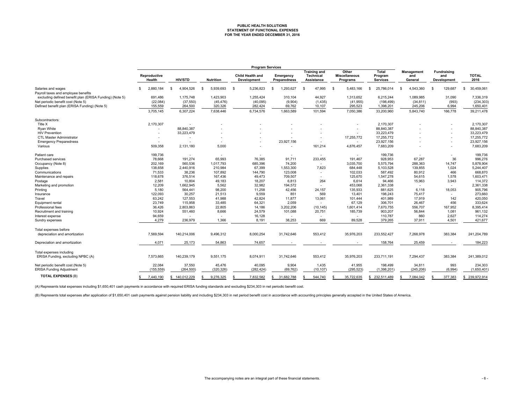# **PUBLIC HEALTH SOLUTIONS STATEMENT OF FUNCTIONAL EXPENSES FOR THE YEAR ENDED DECEMBER 31, 2016**

|                                                                                               | Reproductive<br>Health | <b>HIV/STD</b>           | <b>Nutrition</b>         | <b>Program Services</b><br>Child Health and<br>Development | Emergency<br>Preparedness | <b>Training and</b><br><b>Technical</b><br><b>Assistance</b> | Other<br><b>Miscellaneous</b><br>Programs | Total<br>Program<br>Services | Management<br>and<br>General | <b>Fundraising</b><br>and<br><b>Development</b> | <b>TOTAL</b><br>2016        |  |
|-----------------------------------------------------------------------------------------------|------------------------|--------------------------|--------------------------|------------------------------------------------------------|---------------------------|--------------------------------------------------------------|-------------------------------------------|------------------------------|------------------------------|-------------------------------------------------|-----------------------------|--|
| Salaries and wages                                                                            | 2,880,184<br>S         | 4,904,526<br>- 96        | S<br>5,939,693           | \$<br>5,236,823                                            | 1,293,627<br>£.           | -96<br>47,995                                                | 5,483,166<br>\$                           | 25,786,014<br>s.             | 4,543,360<br>- \$            | -S<br>129,687                                   | 30,459,061<br>$\mathcal{S}$ |  |
| Payroll taxes and employee benefits                                                           | 691,486                | 1,175,748                |                          | 1,255,424                                                  | 310,104                   | 44,927                                                       |                                           | 6,215,244                    | 1,089,985                    | 31,090                                          |                             |  |
| excluding defined benefit plan (ERISA Funding) (Note 5)<br>Net periodic benefit cost (Note 5) | (22, 084)              | (37, 550)                | 1,423,903<br>(45, 476)   | (40,095)                                                   | (9,904)                   | (1, 435)                                                     | 1,313,652<br>(41, 955)                    | (198, 499)                   | (34, 811)                    | (993)                                           | 7,336,319<br>(234, 303)     |  |
| Defined benefit plan (ERISA Funding) (Note 5)                                                 | 155,559                | 264,500                  | 320,326                  | 282,424                                                    | 69,762                    | 10,107                                                       | 295,523                                   | 1,398,201                    | 245,206                      | 6,994                                           | 1,650,401                   |  |
|                                                                                               | 3,705,145              | 6,307,224                | 7,638,446                | 6,734,576                                                  | 1,663,589                 | 101,594                                                      | 7,050,386                                 | 33,200,960                   | 5,843,740                    | 166,778                                         | 39,211,478                  |  |
| Subcontractors:                                                                               |                        |                          |                          |                                                            |                           |                                                              |                                           |                              |                              |                                                 |                             |  |
| Title X                                                                                       | 2,170,307              | $\overline{\phantom{a}}$ |                          |                                                            |                           |                                                              |                                           | 2,170,307                    |                              |                                                 | 2,170,307                   |  |
| Ryan White                                                                                    |                        | 88,840,387               |                          |                                                            |                           |                                                              |                                           | 88,840,387                   |                              |                                                 | 88,840,387                  |  |
| <b>HIV Prevention</b>                                                                         |                        | 33,223,479               |                          |                                                            |                           |                                                              |                                           | 33,223,479                   |                              |                                                 | 33,223,479                  |  |
| CTL Master Administrator                                                                      |                        |                          |                          |                                                            |                           |                                                              | 17,255,772                                | 17,255,772                   |                              | $\overline{\phantom{a}}$                        | 17,255,772                  |  |
| <b>Emergency Preparedness</b>                                                                 |                        |                          |                          |                                                            | 23,927,156                |                                                              |                                           | 23,927,156                   |                              |                                                 | 23,927,156                  |  |
| Various                                                                                       | 509,358                | 2,131,180                | 5,000                    |                                                            | $\sim$                    | 161,214                                                      | 4,876,457                                 | 7,683,209                    |                              | $\overline{\phantom{a}}$                        | 7,683,209                   |  |
| Patient care                                                                                  | 199,736                | $\overline{\phantom{a}}$ | $\overline{\phantom{a}}$ | $\sim$                                                     | $\sim$                    | $\sim$                                                       | $\sim$                                    | 199,736                      |                              | $\overline{\phantom{a}}$                        | 199,736                     |  |
| Purchased services                                                                            | 78,668                 | 191,274                  | 65.993                   | 76.385                                                     | 91.711                    | 233,455                                                      | 191.467                                   | 928,953                      | 67,287                       | 36                                              | 996,276                     |  |
| Occupancy (Note 8)                                                                            | 202,169                | 560,536                  | 1,017,793                | 685,396                                                    | 74,200                    | $\sim$                                                       | 3,035,700                                 | 5,575,794                    | 288,363                      | 14,747                                          | 5,878,904                   |  |
| Supplies                                                                                      | 138,658                | 2,440,916                | 210,984                  | 67,399                                                     | 1,553,300                 | 7,823                                                        | 684,448                                   | 5,103,528                    | 139,855                      | 1,024                                           | 5,244,407                   |  |
| Communications                                                                                | 71.533                 | 38,236                   | 107.892                  | 144,790                                                    | 123.008                   |                                                              | 102.033                                   | 587.492                      | 80,912                       | 466                                             | 668,870                     |  |
| Maintenance and repairs                                                                       | 118,678                | 376,514                  | 167,436                  | 49,473                                                     | 709,507                   | $\sim$                                                       | 125,670                                   | 1,547,278                    | 54,615                       | 1,578                                           | 1,603,471                   |  |
| Postage                                                                                       | 2,581                  | 10,804                   | 49,183                   | 18,207                                                     | 6,813                     | 264                                                          | 6,614                                     | 94,466                       | 15,963                       | 3,943                                           | 114,372                     |  |
| Marketing and promotion                                                                       | 12,209                 | 1,662,945                | 5,562                    | 32,982                                                     | 194,572                   |                                                              | 453,068                                   | 2,361,338                    | $\sim$                       |                                                 | 2,361,338                   |  |
| Printing                                                                                      | 5,180                  | 564,441                  | 98,200                   | 11,258                                                     | 42,456                    | 24,157                                                       | 135,933                                   | 881.625                      | 6,118                        | 18,053                                          | 905,796                     |  |
| Insurance                                                                                     | 122,093                | 30,257                   | 21,513                   | 9,559                                                      | 851                       | 569                                                          | 13,401                                    | 198,243                      | 75,417                       |                                                 | 273,660                     |  |
| Travel                                                                                        | 63,242                 | 127,553                  | 41,988                   | 42,824                                                     | 11,877                    | 13,061                                                       | 101,444                                   | 401,989                      | 17,919                       | 142                                             | 420,050                     |  |
| Equipment rental                                                                              | 23,749                 | 115,958                  | 33,485                   | 64,321                                                     | 2,059                     |                                                              | 67,129                                    | 306,701                      | 26,467                       | 456                                             | 333,624                     |  |
| Professional fees                                                                             | 36,426                 | 2,803,863                | 22,805                   | 14,186                                                     | 3,202,206                 | (10, 145)                                                    | 1,601,414                                 | 7,670,755                    | 556,707                      | 167,952                                         | 8,395,414                   |  |
| Recruitment and training                                                                      | 10,924                 | 551,460                  | 8,666                    | 24,579                                                     | 101,088                   | 20,751                                                       | 185,739                                   | 903,207                      | 56,844                       | 1,081                                           | 961,132                     |  |
| Interest expense                                                                              | 94,659                 |                          |                          | 16,128                                                     |                           |                                                              |                                           | 110,787                      | 860                          | 2,627                                           | 114,274                     |  |
| Sundry expenses                                                                               | 4,279                  | 236,979                  | 1,366                    | 8,191                                                      | 38,253                    | 669                                                          | 89,528                                    | 379,265                      | 37,911                       | 4,501                                           | 421,677                     |  |
| Total expenses before                                                                         |                        |                          |                          |                                                            |                           |                                                              |                                           |                              |                              |                                                 |                             |  |
| depreciation and amortization                                                                 | 7,569,594              | 140,214,006              | 9,496,312                | 8,000,254                                                  | 31,742,646                | 553,412                                                      | 35,976,203                                | 233,552,427                  | 7,268,978                    | 383,384                                         | 241,204,789                 |  |
| Depreciation and amortization                                                                 | 4,071                  | 25,173                   | 54,863                   | 74,657                                                     |                           |                                                              |                                           | 158,764                      | 25,459                       |                                                 | 184,223                     |  |
| Total expenses including                                                                      |                        |                          |                          |                                                            |                           |                                                              |                                           |                              |                              |                                                 |                             |  |
| ERISA Funding, excluding NPBC (A)                                                             | 7,573,665              | 140,239,179              | 9,551,175                | 8,074,911                                                  | 31,742,646                | 553,412                                                      | 35,976,203                                | 233,711,191                  | 7,294,437                    | 383,384                                         | 241,389,012                 |  |
| Net periodic benefit cost (Note 5)                                                            | 22,084                 | 37,550                   | 45,476                   | 40,095                                                     | 9,904                     | 1,435                                                        | 41,955                                    | 198,499                      | 34,811                       | 993                                             | 234,303                     |  |
| <b>ERISA Funding Adjustment</b>                                                               | (155, 559)             | (264, 500)               | (320, 326)               | (282, 424)                                                 | (69, 762)                 | (10, 107)                                                    | (295, 523)                                | (1,398,201)                  | (245, 206)                   | (6,994)                                         | (1,650,401)                 |  |
| <b>TOTAL EXPENSES (B)</b>                                                                     | 7.440.190<br>S         | \$140.012.229            | 9,276,325<br>\$.         | 7.832.582<br>-S                                            | 31,682,788<br>\$.         | 544.740<br>S                                                 | 35.722.635                                | 232,511,489<br>S.            | 7.084.042<br>\$              | 377,383<br>-S                                   | 239,972,914<br>\$.          |  |

(A) Represents total expenses including \$1,650,401 cash payments in accordance with required ERISA funding standards and excluding \$234,303 in net periodic benefit cost.

(B) Represents total expenses after application of \$1,650,401 cash payments against pension liability and including \$234,303 in net period benefit cost in accordance with accounting principles generally accepted in the Uni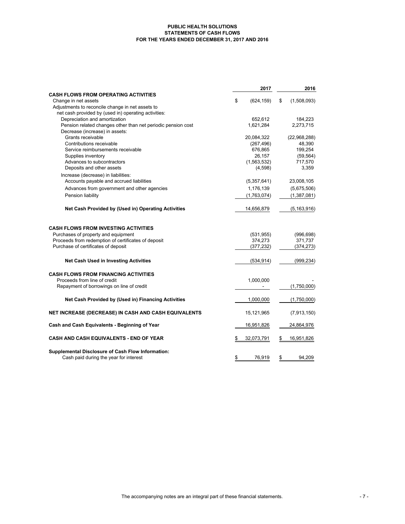#### **PUBLIC HEALTH SOLUTIONS STATEMENTS OF CASH FLOWS FOR THE YEARS ENDED DECEMBER 31, 2017 AND 2016**

|                                                                                             | 2017 |             |    | 2016          |
|---------------------------------------------------------------------------------------------|------|-------------|----|---------------|
| <b>CASH FLOWS FROM OPERATING ACTIVITIES</b>                                                 |      |             |    |               |
| Change in net assets                                                                        | \$   | (624, 159)  | \$ | (1,508,093)   |
| Adjustments to reconcile change in net assets to                                            |      |             |    |               |
| net cash provided by (used in) operating activities:                                        |      |             |    |               |
| Depreciation and amortization                                                               |      | 652,612     |    | 184,223       |
| Pension related changes other than net periodic pension cost                                |      | 1,621,284   |    | 2,273,715     |
| Decrease (increase) in assets:                                                              |      |             |    |               |
| Grants receivable                                                                           |      | 20,084,322  |    | (22,968,288)  |
| Contributions receivable                                                                    |      | (267, 496)  |    | 48,390        |
| Service reimbursements receivable                                                           |      | 676,865     |    | 199,254       |
| Supplies inventory                                                                          |      | 26,157      |    | (59, 564)     |
| Advances to subcontractors                                                                  |      | (1,563,532) |    | 717,570       |
| Deposits and other assets                                                                   |      | (4,598)     |    | 3,359         |
| Increase (decrease) in liabilities:                                                         |      |             |    |               |
| Accounts payable and accrued liabilities                                                    |      | (5,357,641) |    | 23,008,105    |
| Advances from government and other agencies                                                 |      | 1,176,139   |    | (5,675,506)   |
| Pension liability                                                                           |      | (1,763,074) |    | (1,387,081)   |
| Net Cash Provided by (Used in) Operating Activities                                         |      | 14,656,879  |    | (5, 163, 916) |
| <b>CASH FLOWS FROM INVESTING ACTIVITIES</b>                                                 |      |             |    |               |
| Purchases of property and equipment                                                         |      | (531, 955)  |    | (996, 698)    |
| Proceeds from redemption of certificates of deposit                                         |      | 374,273     |    | 371,737       |
| Purchase of certificates of deposit                                                         |      | (377, 232)  |    | (374, 273)    |
| <b>Net Cash Used in Investing Activities</b>                                                |      | (534, 914)  |    | (999, 234)    |
| <b>CASH FLOWS FROM FINANCING ACTIVITIES</b>                                                 |      |             |    |               |
| Proceeds from line of credit                                                                |      | 1,000,000   |    |               |
| Repayment of borrowings on line of credit                                                   |      |             |    | (1,750,000)   |
| Net Cash Provided by (Used in) Financing Activities                                         |      | 1,000,000   |    | (1,750,000)   |
| NET INCREASE (DECREASE) IN CASH AND CASH EQUIVALENTS                                        |      | 15,121,965  |    | (7,913,150)   |
| Cash and Cash Equivalents - Beginning of Year                                               |      | 16,951,826  |    | 24,864,976    |
| <b>CASH AND CASH EQUIVALENTS - END OF YEAR</b>                                              | \$   | 32,073,791  | \$ | 16,951,826    |
| Supplemental Disclosure of Cash Flow Information:<br>Cash paid during the year for interest | \$   | 76,919      | \$ | 94,209        |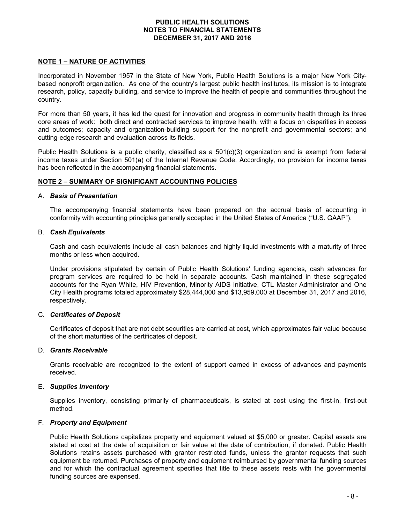# **NOTE 1 – NATURE OF ACTIVITIES**

Incorporated in November 1957 in the State of New York, Public Health Solutions is a major New York Citybased nonprofit organization. As one of the country's largest public health institutes, its mission is to integrate research, policy, capacity building, and service to improve the health of people and communities throughout the country.

For more than 50 years, it has led the quest for innovation and progress in community health through its three core areas of work: both direct and contracted services to improve health, with a focus on disparities in access and outcomes; capacity and organization-building support for the nonprofit and governmental sectors; and cutting-edge research and evaluation across its fields.

Public Health Solutions is a public charity, classified as a 501(c)(3) organization and is exempt from federal income taxes under Section 501(a) of the Internal Revenue Code. Accordingly, no provision for income taxes has been reflected in the accompanying financial statements.

# **NOTE 2 – SUMMARY OF SIGNIFICANT ACCOUNTING POLICIES**

#### A. *Basis of Presentation*

The accompanying financial statements have been prepared on the accrual basis of accounting in conformity with accounting principles generally accepted in the United States of America ("U.S. GAAP").

#### B. *Cash Equivalents*

Cash and cash equivalents include all cash balances and highly liquid investments with a maturity of three months or less when acquired.

Under provisions stipulated by certain of Public Health Solutions' funding agencies, cash advances for program services are required to be held in separate accounts. Cash maintained in these segregated accounts for the Ryan White, HIV Prevention, Minority AIDS Initiative, CTL Master Administrator and One City Health programs totaled approximately \$28,444,000 and \$13,959,000 at December 31, 2017 and 2016, respectively.

#### C. *Certificates of Deposit*

Certificates of deposit that are not debt securities are carried at cost, which approximates fair value because of the short maturities of the certificates of deposit.

#### D. *Grants Receivable*

Grants receivable are recognized to the extent of support earned in excess of advances and payments received.

# E. *Supplies Inventory*

Supplies inventory, consisting primarily of pharmaceuticals, is stated at cost using the first-in, first-out method.

#### F. *Property and Equipment*

Public Health Solutions capitalizes property and equipment valued at \$5,000 or greater. Capital assets are stated at cost at the date of acquisition or fair value at the date of contribution, if donated. Public Health Solutions retains assets purchased with grantor restricted funds, unless the grantor requests that such equipment be returned. Purchases of property and equipment reimbursed by governmental funding sources and for which the contractual agreement specifies that title to these assets rests with the governmental funding sources are expensed.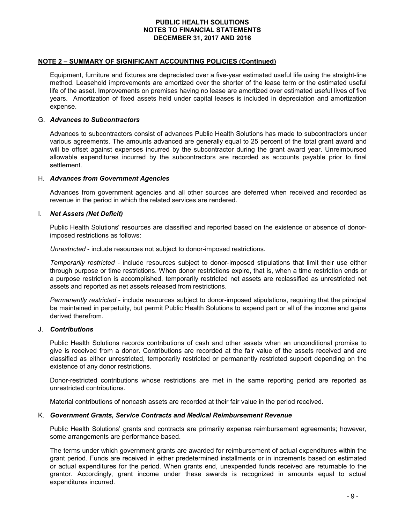#### **NOTE 2 – SUMMARY OF SIGNIFICANT ACCOUNTING POLICIES (Continued)**

Equipment, furniture and fixtures are depreciated over a five-year estimated useful life using the straight-line method. Leasehold improvements are amortized over the shorter of the lease term or the estimated useful life of the asset. Improvements on premises having no lease are amortized over estimated useful lives of five years. Amortization of fixed assets held under capital leases is included in depreciation and amortization expense.

#### G. *Advances to Subcontractors*

Advances to subcontractors consist of advances Public Health Solutions has made to subcontractors under various agreements. The amounts advanced are generally equal to 25 percent of the total grant award and will be offset against expenses incurred by the subcontractor during the grant award year. Unreimbursed allowable expenditures incurred by the subcontractors are recorded as accounts payable prior to final settlement.

#### H. *Advances from Government Agencies*

Advances from government agencies and all other sources are deferred when received and recorded as revenue in the period in which the related services are rendered.

#### I. *Net Assets (Net Deficit)*

Public Health Solutions' resources are classified and reported based on the existence or absence of donorimposed restrictions as follows:

*Unrestricted* - include resources not subject to donor-imposed restrictions.

*Temporarily restricted* - include resources subject to donor-imposed stipulations that limit their use either through purpose or time restrictions. When donor restrictions expire, that is, when a time restriction ends or a purpose restriction is accomplished, temporarily restricted net assets are reclassified as unrestricted net assets and reported as net assets released from restrictions.

*Permanently restricted* - include resources subject to donor-imposed stipulations, requiring that the principal be maintained in perpetuity, but permit Public Health Solutions to expend part or all of the income and gains derived therefrom.

# J. *Contributions*

Public Health Solutions records contributions of cash and other assets when an unconditional promise to give is received from a donor. Contributions are recorded at the fair value of the assets received and are classified as either unrestricted, temporarily restricted or permanently restricted support depending on the existence of any donor restrictions.

Donor-restricted contributions whose restrictions are met in the same reporting period are reported as unrestricted contributions.

Material contributions of noncash assets are recorded at their fair value in the period received.

#### K. *Government Grants, Service Contracts and Medical Reimbursement Revenue*

Public Health Solutions' grants and contracts are primarily expense reimbursement agreements; however, some arrangements are performance based.

The terms under which government grants are awarded for reimbursement of actual expenditures within the grant period. Funds are received in either predetermined installments or in increments based on estimated or actual expenditures for the period. When grants end, unexpended funds received are returnable to the grantor. Accordingly, grant income under these awards is recognized in amounts equal to actual expenditures incurred.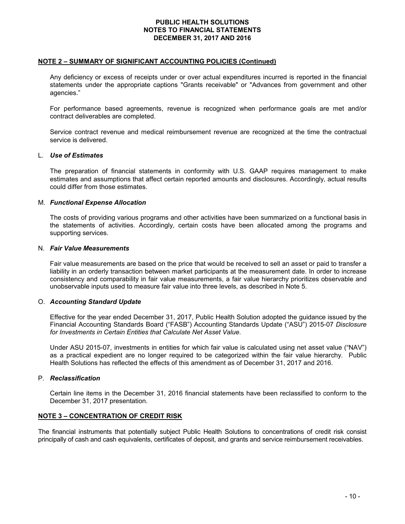#### **NOTE 2 – SUMMARY OF SIGNIFICANT ACCOUNTING POLICIES (Continued)**

Any deficiency or excess of receipts under or over actual expenditures incurred is reported in the financial statements under the appropriate captions "Grants receivable" or "Advances from government and other agencies."

For performance based agreements, revenue is recognized when performance goals are met and/or contract deliverables are completed.

Service contract revenue and medical reimbursement revenue are recognized at the time the contractual service is delivered.

#### L. *Use of Estimates*

The preparation of financial statements in conformity with U.S. GAAP requires management to make estimates and assumptions that affect certain reported amounts and disclosures. Accordingly, actual results could differ from those estimates.

#### M. *Functional Expense Allocation*

The costs of providing various programs and other activities have been summarized on a functional basis in the statements of activities. Accordingly, certain costs have been allocated among the programs and supporting services.

#### N. *Fair Value Measurements*

Fair value measurements are based on the price that would be received to sell an asset or paid to transfer a liability in an orderly transaction between market participants at the measurement date. In order to increase consistency and comparability in fair value measurements, a fair value hierarchy prioritizes observable and unobservable inputs used to measure fair value into three levels, as described in Note 5.

#### O. *Accounting Standard Update*

Effective for the year ended December 31, 2017, Public Health Solution adopted the guidance issued by the Financial Accounting Standards Board ("FASB") Accounting Standards Update ("ASU") 2015-07 *Disclosure for Investments in Certain Entities that Calculate Net Asset Value*.

Under ASU 2015-07, investments in entities for which fair value is calculated using net asset value ("NAV") as a practical expedient are no longer required to be categorized within the fair value hierarchy. Public Health Solutions has reflected the effects of this amendment as of December 31, 2017 and 2016.

#### P. *Reclassification*

Certain line items in the December 31, 2016 financial statements have been reclassified to conform to the December 31, 2017 presentation.

#### **NOTE 3 – CONCENTRATION OF CREDIT RISK**

The financial instruments that potentially subject Public Health Solutions to concentrations of credit risk consist principally of cash and cash equivalents, certificates of deposit, and grants and service reimbursement receivables.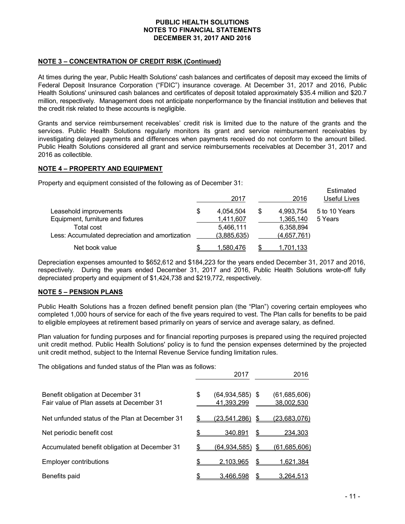# **NOTE 3 – CONCENTRATION OF CREDIT RISK (Continued)**

At times during the year, Public Health Solutions' cash balances and certificates of deposit may exceed the limits of Federal Deposit Insurance Corporation ("FDIC") insurance coverage. At December 31, 2017 and 2016, Public Health Solutions' uninsured cash balances and certificates of deposit totaled approximately \$35.4 million and \$20.7 million, respectively. Management does not anticipate nonperformance by the financial institution and believes that the credit risk related to these accounts is negligible.

Grants and service reimbursement receivables' credit risk is limited due to the nature of the grants and the services. Public Health Solutions regularly monitors its grant and service reimbursement receivables by investigating delayed payments and differences when payments received do not conform to the amount billed. Public Health Solutions considered all grant and service reimbursements receivables at December 31, 2017 and 2016 as collectible.

# **NOTE 4 – PROPERTY AND EQUIPMENT**

Property and equipment consisted of the following as of December 31:

|                                                 | 2017            | 2016            | Estimated<br>Useful Lives |
|-------------------------------------------------|-----------------|-----------------|---------------------------|
| Leasehold improvements                          | \$<br>4.054.504 | \$<br>4.993.754 | 5 to 10 Years             |
| Equipment, furniture and fixtures               | 1,411,607       | 1,365,140       | 5 Years                   |
| Total cost                                      | 5,466,111       | 6,358,894       |                           |
| Less: Accumulated depreciation and amortization | (3,885,635)     | (4,657,761)     |                           |
| Net book value                                  | 1.580.476       | 1.701.133       |                           |

Depreciation expenses amounted to \$652,612 and \$184,223 for the years ended December 31, 2017 and 2016, respectively. During the years ended December 31, 2017 and 2016, Public Health Solutions wrote-off fully depreciated property and equipment of \$1,424,738 and \$219,772, respectively.

# **NOTE 5 – PENSION PLANS**

Public Health Solutions has a frozen defined benefit pension plan (the "Plan") covering certain employees who completed 1,000 hours of service for each of the five years required to vest. The Plan calls for benefits to be paid to eligible employees at retirement based primarily on years of service and average salary, as defined.

Plan valuation for funding purposes and for financial reporting purposes is prepared using the required projected unit credit method. Public Health Solutions' policy is to fund the pension expenses determined by the projected unit credit method, subject to the Internal Revenue Service funding limitation rules.

The obligations and funded status of the Plan was as follows:

|                                                                               | 2017                                    |    | 2016                         |
|-------------------------------------------------------------------------------|-----------------------------------------|----|------------------------------|
| Benefit obligation at December 31<br>Fair value of Plan assets at December 31 | \$<br>$(64, 934, 585)$ \$<br>41,393,299 |    | (61, 685, 606)<br>38,002,530 |
| Net unfunded status of the Plan at December 31                                | (23,541,286)                            | \$ | (23,683,076)                 |
| Net periodic benefit cost                                                     | 340.891                                 | \$ | 234.303                      |
| Accumulated benefit obligation at December 31                                 | <u>(64,934,585)</u>                     | \$ | (61, 685, 606)               |
| <b>Employer contributions</b>                                                 | <u>2,103,965</u>                        | S  | 1.621.384                    |
| Benefits paid                                                                 | 3,466,598                               |    | 3,264,513                    |

 $\equiv$   $\frac{1}{2}$   $\equiv$   $\frac{1}{2}$   $\equiv$   $\frac{1}{2}$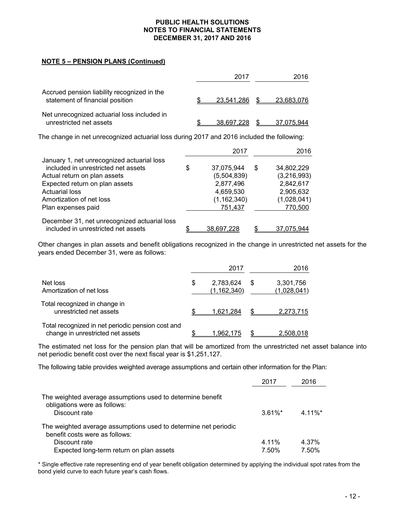# **NOTE 5 – PENSION PLANS (Continued)**

|                                                                                | 2017       | 2016       |
|--------------------------------------------------------------------------------|------------|------------|
| Accrued pension liability recognized in the<br>statement of financial position | 23,541,286 | 23,683,076 |
| Net unrecognized actuarial loss included in<br>unrestricted net assets         | 38.697.228 | 37.075.944 |

The change in net unrecognized actuarial loss during 2017 and 2016 included the following:

|                                              | 2017             |   | 2016        |
|----------------------------------------------|------------------|---|-------------|
| January 1, net unrecognized actuarial loss   |                  |   |             |
| included in unrestricted net assets          | \$<br>37,075,944 | S | 34,802,229  |
| Actual return on plan assets                 | (5,504,839)      |   | (3,216,993) |
| Expected return on plan assets               | 2,877,496        |   | 2,842,617   |
| <b>Actuarial loss</b>                        | 4,659,530        |   | 2,905,632   |
| Amortization of net loss                     | (1, 162, 340)    |   | (1,028,041) |
| Plan expenses paid                           | 751,437          |   | 770,500     |
| December 31, net unrecognized actuarial loss |                  |   |             |
| included in unrestricted net assets          | 38.697.228       |   | 37.075.944  |

Other changes in plan assets and benefit obligations recognized in the change in unrestricted net assets for the years ended December 31, were as follows:

|                                                                                        | 2017                           |    | 2016                     |
|----------------------------------------------------------------------------------------|--------------------------------|----|--------------------------|
| Net loss<br>Amortization of net loss                                                   | \$<br>2,783,624<br>(1,162,340) | \$ | 3,301,756<br>(1,028,041) |
| Total recognized in change in<br>unrestricted net assets                               | 1.621.284                      | S  | 2,273,715                |
| Total recognized in net periodic pension cost and<br>change in unrestricted net assets | 1.962.175                      | \$ | 2,508,018                |

The estimated net loss for the pension plan that will be amortized from the unrestricted net asset balance into net periodic benefit cost over the next fiscal year is \$1,251,127.

The following table provides weighted average assumptions and certain other information for the Plan:

|                                                                                                   | 2017       | 2016       |
|---------------------------------------------------------------------------------------------------|------------|------------|
| The weighted average assumptions used to determine benefit<br>obligations were as follows:        |            |            |
| Discount rate                                                                                     | $3.61\%$ * | $4.11\%$ * |
| The weighted average assumptions used to determine net periodic<br>benefit costs were as follows: |            |            |
| Discount rate                                                                                     | 4.11%      | 4.37%      |
| Expected long-term return on plan assets                                                          | 7.50%      | 7.50%      |

\* Single effective rate representing end of year benefit obligation determined by applying the individual spot rates from the bond yield curve to each future year's cash flows.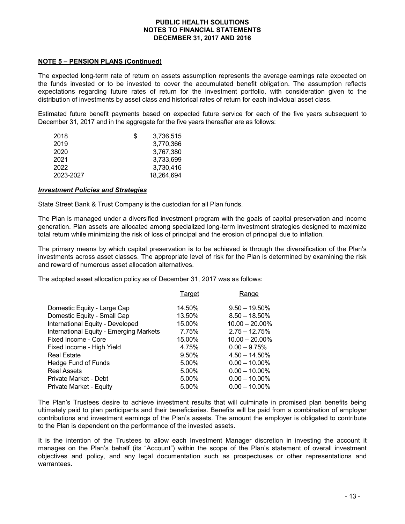#### **NOTE 5 – PENSION PLANS (Continued)**

The expected long-term rate of return on assets assumption represents the average earnings rate expected on the funds invested or to be invested to cover the accumulated benefit obligation. The assumption reflects expectations regarding future rates of return for the investment portfolio, with consideration given to the distribution of investments by asset class and historical rates of return for each individual asset class.

Estimated future benefit payments based on expected future service for each of the five years subsequent to December 31, 2017 and in the aggregate for the five years thereafter are as follows:

| 2018      | S | 3.736.515  |
|-----------|---|------------|
| 2019      |   | 3,770,366  |
| 2020      |   | 3.767.380  |
| 2021      |   | 3.733.699  |
| 2022      |   | 3,730,416  |
| 2023-2027 |   | 18.264.694 |

#### *Investment Policies and Strategies*

State Street Bank & Trust Company is the custodian for all Plan funds.

The Plan is managed under a diversified investment program with the goals of capital preservation and income generation. Plan assets are allocated among specialized long-term investment strategies designed to maximize total return while minimizing the risk of loss of principal and the erosion of principal due to inflation.

The primary means by which capital preservation is to be achieved is through the diversification of the Plan's investments across asset classes. The appropriate level of risk for the Plan is determined by examining the risk and reward of numerous asset allocation alternatives.

The adopted asset allocation policy as of December 31, 2017 was as follows:

|                                         | <b>Target</b> | Range             |
|-----------------------------------------|---------------|-------------------|
| Domestic Equity - Large Cap             | 14.50%        | $9.50 - 19.50\%$  |
| Domestic Equity - Small Cap             | 13.50%        | $8.50 - 18.50\%$  |
| International Equity - Developed        | 15.00%        | $10.00 - 20.00\%$ |
| International Equity - Emerging Markets | 7.75%         | $2.75 - 12.75%$   |
| Fixed Income - Core                     | 15.00%        | $10.00 - 20.00\%$ |
| Fixed Income - High Yield               | 4.75%         | $0.00 - 9.75%$    |
| <b>Real Estate</b>                      | 9.50%         | $4.50 - 14.50\%$  |
| <b>Hedge Fund of Funds</b>              | 5.00%         | $0.00 - 10.00\%$  |
| <b>Real Assets</b>                      | 5.00%         | $0.00 - 10.00\%$  |
| Private Market - Debt                   | 5.00%         | $0.00 - 10.00\%$  |
| Private Market - Equity                 | 5.00%         | $0.00 - 10.00\%$  |

The Plan's Trustees desire to achieve investment results that will culminate in promised plan benefits being ultimately paid to plan participants and their beneficiaries. Benefits will be paid from a combination of employer contributions and investment earnings of the Plan's assets. The amount the employer is obligated to contribute to the Plan is dependent on the performance of the invested assets.

It is the intention of the Trustees to allow each Investment Manager discretion in investing the account it manages on the Plan's behalf (its "Account") within the scope of the Plan's statement of overall investment objectives and policy, and any legal documentation such as prospectuses or other representations and warrantees.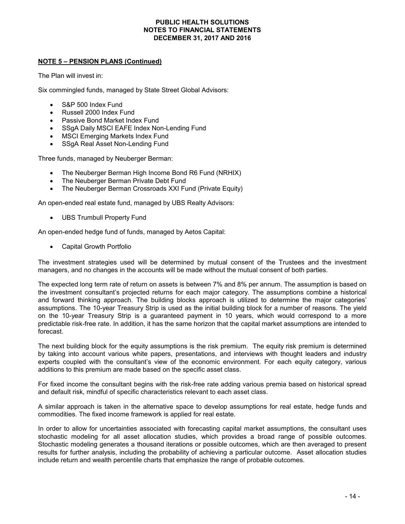# **NOTE 5 – PENSION PLANS (Continued)**

The Plan will invest in:

Six commingled funds, managed by State Street Global Advisors:

- S&P 500 Index Fund
- Russell 2000 Index Fund
- Passive Bond Market Index Fund
- SSgA Daily MSCI EAFE Index Non-Lending Fund
- MSCI Emerging Markets Index Fund
- SSgA Real Asset Non-Lending Fund

Three funds, managed by Neuberger Berman:

- The Neuberger Berman High Income Bond R6 Fund (NRHIX)
- The Neuberger Berman Private Debt Fund
- The Neuberger Berman Crossroads XXI Fund (Private Equity)

An open-ended real estate fund, managed by UBS Realty Advisors:

UBS Trumbull Property Fund

An open-ended hedge fund of funds, managed by Aetos Capital:

Capital Growth Portfolio

The investment strategies used will be determined by mutual consent of the Trustees and the investment managers, and no changes in the accounts will be made without the mutual consent of both parties.

The expected long term rate of return on assets is between 7% and 8% per annum. The assumption is based on the investment consultant's projected returns for each major category. The assumptions combine a historical and forward thinking approach. The building blocks approach is utilized to determine the major categories' assumptions. The 10-year Treasury Strip is used as the initial building block for a number of reasons. The yield on the 10-year Treasury Strip is a guaranteed payment in 10 years, which would correspond to a more predictable risk-free rate. In addition, it has the same horizon that the capital market assumptions are intended to forecast.

The next building block for the equity assumptions is the risk premium. The equity risk premium is determined by taking into account various white papers, presentations, and interviews with thought leaders and industry experts coupled with the consultant's view of the economic environment. For each equity category, various additions to this premium are made based on the specific asset class.

For fixed income the consultant begins with the risk-free rate adding various premia based on historical spread and default risk, mindful of specific characteristics relevant to each asset class.

A similar approach is taken in the alternative space to develop assumptions for real estate, hedge funds and commodities. The fixed income framework is applied for real estate.

In order to allow for uncertainties associated with forecasting capital market assumptions, the consultant uses stochastic modeling for all asset allocation studies, which provides a broad range of possible outcomes. Stochastic modeling generates a thousand iterations or possible outcomes, which are then averaged to present results for further analysis, including the probability of achieving a particular outcome. Asset allocation studies include return and wealth percentile charts that emphasize the range of probable outcomes.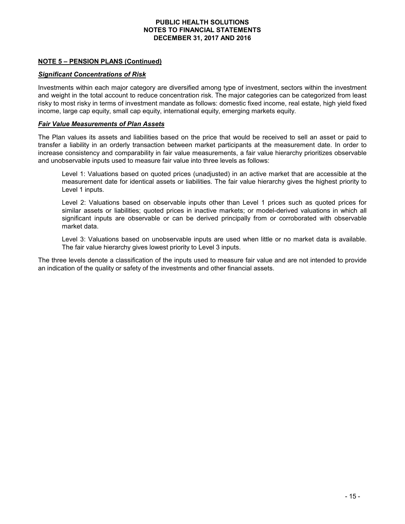# **NOTE 5 – PENSION PLANS (Continued)**

# *Significant Concentrations of Risk*

Investments within each major category are diversified among type of investment, sectors within the investment and weight in the total account to reduce concentration risk. The major categories can be categorized from least risky to most risky in terms of investment mandate as follows: domestic fixed income, real estate, high yield fixed income, large cap equity, small cap equity, international equity, emerging markets equity.

# *Fair Value Measurements of Plan Assets*

The Plan values its assets and liabilities based on the price that would be received to sell an asset or paid to transfer a liability in an orderly transaction between market participants at the measurement date. In order to increase consistency and comparability in fair value measurements, a fair value hierarchy prioritizes observable and unobservable inputs used to measure fair value into three levels as follows:

Level 1: Valuations based on quoted prices (unadjusted) in an active market that are accessible at the measurement date for identical assets or liabilities. The fair value hierarchy gives the highest priority to Level 1 inputs.

Level 2: Valuations based on observable inputs other than Level 1 prices such as quoted prices for similar assets or liabilities; quoted prices in inactive markets; or model-derived valuations in which all significant inputs are observable or can be derived principally from or corroborated with observable market data.

Level 3: Valuations based on unobservable inputs are used when little or no market data is available. The fair value hierarchy gives lowest priority to Level 3 inputs.

The three levels denote a classification of the inputs used to measure fair value and are not intended to provide an indication of the quality or safety of the investments and other financial assets.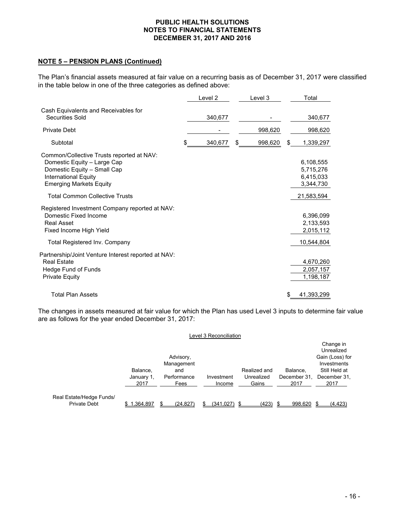# **NOTE 5 – PENSION PLANS (Continued)**

The Plan's financial assets measured at fair value on a recurring basis as of December 31, 2017 were classified in the table below in one of the three categories as defined above:

|                                                                                                                                                                   | Level 2       | Level 3       | Total                                            |
|-------------------------------------------------------------------------------------------------------------------------------------------------------------------|---------------|---------------|--------------------------------------------------|
| Cash Equivalents and Receivables for<br>Securities Sold                                                                                                           | 340,677       |               | 340,677                                          |
| <b>Private Debt</b>                                                                                                                                               |               | 998,620       | 998,620                                          |
| Subtotal                                                                                                                                                          | \$<br>340,677 | \$<br>998,620 | \$<br>1,339,297                                  |
| Common/Collective Trusts reported at NAV:<br>Domestic Equity - Large Cap<br>Domestic Equity - Small Cap<br>International Equity<br><b>Emerging Markets Equity</b> |               |               | 6,108,555<br>5,715,276<br>6,415,033<br>3,344,730 |
| <b>Total Common Collective Trusts</b>                                                                                                                             |               |               | 21,583,594                                       |
| Registered Investment Company reported at NAV:<br>Domestic Fixed Income<br><b>Real Asset</b><br>Fixed Income High Yield                                           |               |               | 6,396,099<br>2,133,593<br>2,015,112              |
| Total Registered Inv. Company                                                                                                                                     |               |               | 10,544,804                                       |
| Partnership/Joint Venture Interest reported at NAV:<br><b>Real Estate</b><br>Hedge Fund of Funds<br><b>Private Equity</b>                                         |               |               | 4,670,260<br>2,057,157<br>1,198,187              |
| <b>Total Plan Assets</b>                                                                                                                                          |               |               | \$<br>41,393,299                                 |

The changes in assets measured at fair value for which the Plan has used Level 3 inputs to determine fair value are as follows for the year ended December 31, 2017:

| Level 3 Reconciliation                          |                                |                                                       |                      |                                     |                                  |                                                                                                    |
|-------------------------------------------------|--------------------------------|-------------------------------------------------------|----------------------|-------------------------------------|----------------------------------|----------------------------------------------------------------------------------------------------|
|                                                 | Balance.<br>January 1,<br>2017 | Advisory,<br>Management<br>and<br>Performance<br>Fees | Investment<br>Income | Realized and<br>Unrealized<br>Gains | Balance.<br>December 31,<br>2017 | Change in<br>Unrealized<br>Gain (Loss) for<br>Investments<br>Still Held at<br>December 31,<br>2017 |
| Real Estate/Hedge Funds/<br><b>Private Debt</b> | \$1.364.897                    | (24.827)                                              | (341.027)            | (423)                               | 998.620                          | (4.423)                                                                                            |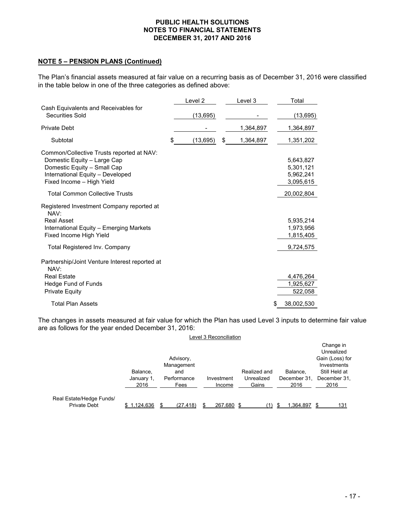# **NOTE 5 – PENSION PLANS (Continued)**

The Plan's financial assets measured at fair value on a recurring basis as of December 31, 2016 were classified in the table below in one of the three categories as defined above:

|                                                                                                                                                                          | Level 2        | Level 3         | Total                                            |
|--------------------------------------------------------------------------------------------------------------------------------------------------------------------------|----------------|-----------------|--------------------------------------------------|
| Cash Equivalents and Receivables for<br>Securities Sold                                                                                                                  | (13, 695)      |                 | (13, 695)                                        |
| <b>Private Debt</b>                                                                                                                                                      |                | 1,364,897       | 1,364,897                                        |
| Subtotal                                                                                                                                                                 | \$<br>(13,695) | \$<br>1,364,897 | 1,351,202                                        |
| Common/Collective Trusts reported at NAV:<br>Domestic Equity - Large Cap<br>Domestic Equity - Small Cap<br>International Equity - Developed<br>Fixed Income - High Yield |                |                 | 5,643,827<br>5,301,121<br>5,962,241<br>3,095,615 |
| <b>Total Common Collective Trusts</b>                                                                                                                                    |                |                 | 20,002,804                                       |
| Registered Investment Company reported at<br>NAV:<br><b>Real Asset</b><br>International Equity - Emerging Markets<br>Fixed Income High Yield                             |                |                 | 5,935,214<br>1.973.956<br>1,815,405              |
| <b>Total Registered Inv. Company</b>                                                                                                                                     |                |                 | 9,724,575                                        |
| Partnership/Joint Venture Interest reported at<br>NAV:                                                                                                                   |                |                 |                                                  |
| <b>Real Estate</b><br><b>Hedge Fund of Funds</b><br><b>Private Equity</b>                                                                                                |                |                 | 4,476,264<br>1,925,627<br>522,058                |
| <b>Total Plan Assets</b>                                                                                                                                                 |                |                 | 38,002,530                                       |

The changes in assets measured at fair value for which the Plan has used Level 3 inputs to determine fair value are as follows for the year ended December 31, 2016:

| Level 3 Reconciliation                          |                                |                                                       |                      |                                     |                                  |                                                                                                    |
|-------------------------------------------------|--------------------------------|-------------------------------------------------------|----------------------|-------------------------------------|----------------------------------|----------------------------------------------------------------------------------------------------|
|                                                 | Balance,<br>January 1,<br>2016 | Advisory,<br>Management<br>and<br>Performance<br>Fees | Investment<br>Income | Realized and<br>Unrealized<br>Gains | Balance.<br>December 31.<br>2016 | Change in<br>Unrealized<br>Gain (Loss) for<br>Investments<br>Still Held at<br>December 31,<br>2016 |
| Real Estate/Hedge Funds/<br><b>Private Debt</b> | \$1,124,636                    | (27,418)                                              | 267,680              | 1)                                  | .364,897<br>.ፍ                   | 131                                                                                                |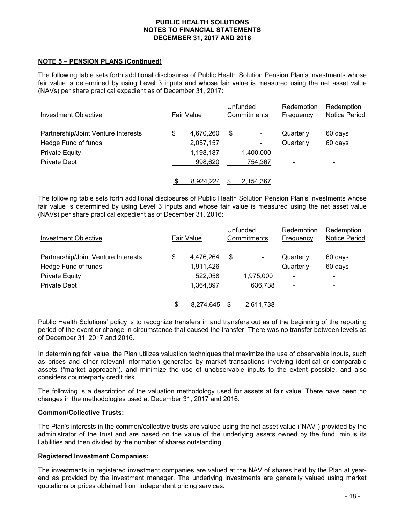# **NOTE 5 – PENSION PLANS (Continued)**

The following table sets forth additional disclosures of Public Health Solution Pension Plan's investments whose fair value is determined by using Level 3 inputs and whose fair value is measured using the net asset value (NAVs) per share practical expedient as of December 31, 2017:

| Investment Objective                | Fair Value      | Unfunded<br>Commitments        | Redemption<br>Frequency  | Redemption<br><b>Notice Period</b> |
|-------------------------------------|-----------------|--------------------------------|--------------------------|------------------------------------|
| Partnership/Joint Venture Interests | \$<br>4,670,260 | \$<br>$\overline{\phantom{a}}$ | Quarterly                | 60 days                            |
| Hedge Fund of funds                 | 2,057,157       | $\overline{\phantom{a}}$       | Quarterly                | 60 days                            |
| <b>Private Equity</b>               | 1,198,187       | 1,400,000                      | $\overline{\phantom{0}}$ | $\overline{\phantom{0}}$           |
| <b>Private Debt</b>                 | 998,620         | 754,367                        |                          | $\qquad \qquad \blacksquare$       |
|                                     |                 |                                |                          |                                    |
|                                     | 8,924,224       | 2,154,367                      |                          |                                    |

The following table sets forth additional disclosures of Public Health Solution Pension Plan's investments whose fair value is determined by using Level 3 inputs and whose fair value is measured using the net asset value (NAVs) per share practical expedient as of December 31, 2016:

| Investment Objective                | Fair Value      | Unfunded<br>Commitments  | Redemption<br>Frequency  | Redemption<br>Notice Period  |
|-------------------------------------|-----------------|--------------------------|--------------------------|------------------------------|
| Partnership/Joint Venture Interests | \$<br>4,476,264 | \$                       | Quarterly                | 60 days                      |
| Hedge Fund of funds                 | 1,911,426       | $\overline{\phantom{a}}$ | Quarterly                | 60 days                      |
| <b>Private Equity</b>               | 522,058         | 1,975,000                | $\overline{\phantom{0}}$ |                              |
| <b>Private Debt</b>                 | 1.364.897       | 636,738                  | ٠                        | $\qquad \qquad \blacksquare$ |
|                                     |                 |                          |                          |                              |
|                                     | 8,274,645       | 2,611,738                |                          |                              |

Public Health Solutions' policy is to recognize transfers in and transfers out as of the beginning of the reporting period of the event or change in circumstance that caused the transfer. There was no transfer between levels as of December 31, 2017 and 2016.

In determining fair value, the Plan utilizes valuation techniques that maximize the use of observable inputs, such as prices and other relevant information generated by market transactions involving identical or comparable assets ("market approach"), and minimize the use of unobservable inputs to the extent possible, and also considers counterparty credit risk.

The following is a description of the valuation methodology used for assets at fair value. There have been no changes in the methodologies used at December 31, 2017 and 2016.

#### **Common/Collective Trusts:**

The Plan's interests in the common/collective trusts are valued using the net asset value ("NAV") provided by the administrator of the trust and are based on the value of the underlying assets owned by the fund, minus its liabilities and then divided by the number of shares outstanding.

#### **Registered Investment Companies:**

The investments in registered investment companies are valued at the NAV of shares held by the Plan at yearend as provided by the investment manager. The underlying investments are generally valued using market quotations or prices obtained from independent pricing services.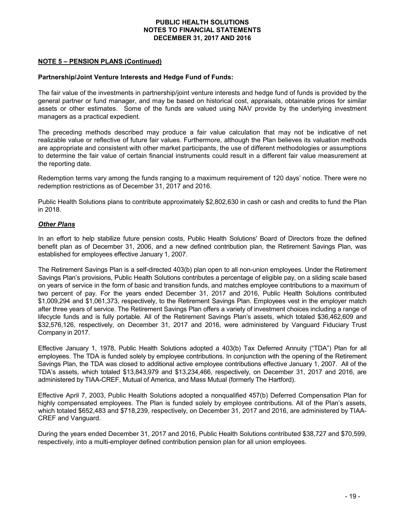#### **NOTE 5 – PENSION PLANS (Continued)**

#### **Partnership/Joint Venture Interests and Hedge Fund of Funds:**

The fair value of the investments in partnership/joint venture interests and hedge fund of funds is provided by the general partner or fund manager, and may be based on historical cost, appraisals, obtainable prices for similar assets or other estimates. Some of the funds are valued using NAV provide by the underlying investment managers as a practical expedient.

The preceding methods described may produce a fair value calculation that may not be indicative of net realizable value or reflective of future fair values. Furthermore, although the Plan believes its valuation methods are appropriate and consistent with other market participants, the use of different methodologies or assumptions to determine the fair value of certain financial instruments could result in a different fair value measurement at the reporting date.

Redemption terms vary among the funds ranging to a maximum requirement of 120 days' notice. There were no redemption restrictions as of December 31, 2017 and 2016.

Public Health Solutions plans to contribute approximately \$2,802,630 in cash or cash and credits to fund the Plan in 2018.

#### *Other Plans*

In an effort to help stabilize future pension costs, Public Health Solutions' Board of Directors froze the defined benefit plan as of December 31, 2006, and a new defined contribution plan, the Retirement Savings Plan, was established for employees effective January 1, 2007.

The Retirement Savings Plan is a self-directed 403(b) plan open to all non-union employees. Under the Retirement Savings Plan's provisions, Public Health Solutions contributes a percentage of eligible pay, on a sliding scale based on years of service in the form of basic and transition funds, and matches employee contributions to a maximum of two percent of pay. For the years ended December 31, 2017 and 2016, Public Health Solutions contributed \$1,009,294 and \$1,061,373, respectively, to the Retirement Savings Plan. Employees vest in the employer match after three years of service. The Retirement Savings Plan offers a variety of investment choices including a range of lifecycle funds and is fully portable. All of the Retirement Savings Plan's assets, which totaled \$36,462,609 and \$32,576,126, respectively, on December 31, 2017 and 2016, were administered by Vanguard Fiduciary Trust Company in 2017.

Effective January 1, 1978, Public Health Solutions adopted a 403(b) Tax Deferred Annuity ("TDA") Plan for all employees. The TDA is funded solely by employee contributions. In conjunction with the opening of the Retirement Savings Plan, the TDA was closed to additional active employee contributions effective January 1, 2007. All of the TDA's assets, which totaled \$13,843,979 and \$13,234,466, respectively, on December 31, 2017 and 2016, are administered by TIAA-CREF, Mutual of America, and Mass Mutual (formerly The Hartford).

Effective April 7, 2003, Public Health Solutions adopted a nonqualified 457(b) Deferred Compensation Plan for highly compensated employees. The Plan is funded solely by employee contributions. All of the Plan's assets, which totaled \$652,483 and \$718,239, respectively, on December 31, 2017 and 2016, are administered by TIAA-CREF and Vanguard.

During the years ended December 31, 2017 and 2016, Public Health Solutions contributed \$38,727 and \$70,599, respectively, into a multi-employer defined contribution pension plan for all union employees.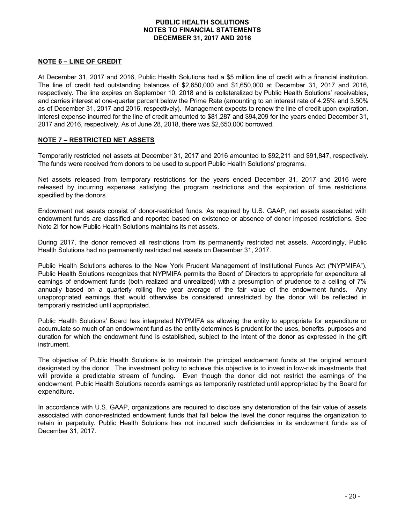# **NOTE 6 – LINE OF CREDIT**

At December 31, 2017 and 2016, Public Health Solutions had a \$5 million line of credit with a financial institution. The line of credit had outstanding balances of \$2,650,000 and \$1,650,000 at December 31, 2017 and 2016, respectively. The line expires on September 10, 2018 and is collateralized by Public Health Solutions' receivables, and carries interest at one-quarter percent below the Prime Rate (amounting to an interest rate of 4.25% and 3.50% as of December 31, 2017 and 2016, respectively). Management expects to renew the line of credit upon expiration. Interest expense incurred for the line of credit amounted to \$81,287 and \$94,209 for the years ended December 31, 2017 and 2016, respectively. As of June 28, 2018, there was \$2,650,000 borrowed.

# **NOTE 7 – RESTRICTED NET ASSETS**

Temporarily restricted net assets at December 31, 2017 and 2016 amounted to \$92,211 and \$91,847, respectively. The funds were received from donors to be used to support Public Health Solutions' programs.

Net assets released from temporary restrictions for the years ended December 31, 2017 and 2016 were released by incurring expenses satisfying the program restrictions and the expiration of time restrictions specified by the donors.

Endowment net assets consist of donor-restricted funds. As required by U.S. GAAP, net assets associated with endowment funds are classified and reported based on existence or absence of donor imposed restrictions. See Note 2I for how Public Health Solutions maintains its net assets.

During 2017, the donor removed all restrictions from its permanently restricted net assets. Accordingly, Public Health Solutions had no permanently restricted net assets on December 31, 2017.

Public Health Solutions adheres to the New York Prudent Management of Institutional Funds Act ("NYPMIFA"). Public Health Solutions recognizes that NYPMIFA permits the Board of Directors to appropriate for expenditure all earnings of endowment funds (both realized and unrealized) with a presumption of prudence to a ceiling of 7% annually based on a quarterly rolling five year average of the fair value of the endowment funds. Any unappropriated earnings that would otherwise be considered unrestricted by the donor will be reflected in temporarily restricted until appropriated.

Public Health Solutions' Board has interpreted NYPMIFA as allowing the entity to appropriate for expenditure or accumulate so much of an endowment fund as the entity determines is prudent for the uses, benefits, purposes and duration for which the endowment fund is established, subject to the intent of the donor as expressed in the gift instrument.

The objective of Public Health Solutions is to maintain the principal endowment funds at the original amount designated by the donor. The investment policy to achieve this objective is to invest in low-risk investments that will provide a predictable stream of funding. Even though the donor did not restrict the earnings of the endowment, Public Health Solutions records earnings as temporarily restricted until appropriated by the Board for expenditure.

In accordance with U.S. GAAP, organizations are required to disclose any deterioration of the fair value of assets associated with donor-restricted endowment funds that fall below the level the donor requires the organization to retain in perpetuity. Public Health Solutions has not incurred such deficiencies in its endowment funds as of December 31, 2017.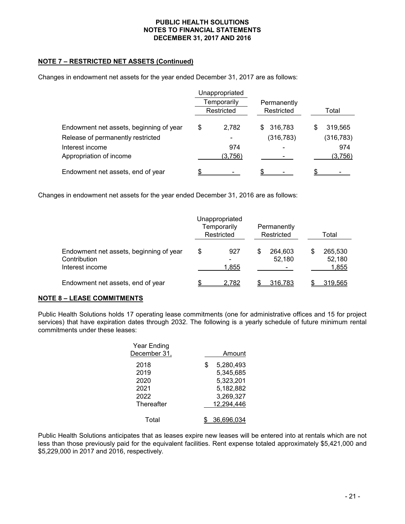# **NOTE 7 – RESTRICTED NET ASSETS (Continued)**

Changes in endowment net assets for the year ended December 31, 2017 are as follows:

|                                         |             | Unappropriated           |               |               |
|-----------------------------------------|-------------|--------------------------|---------------|---------------|
|                                         | Temporarily |                          | Permanently   |               |
|                                         |             | Restricted<br>Restricted |               | Total         |
|                                         |             |                          |               |               |
| Endowment net assets, beginning of year | \$          | 2,782                    | 316,783<br>S. | \$<br>319,565 |
| Release of permanently restricted       |             |                          | (316, 783)    | (316, 783)    |
| Interest income                         |             | 974                      |               | 974           |
| Appropriation of income                 |             | (3,756)                  |               | (3,756)       |
| Endowment net assets, end of year       |             |                          |               |               |

Changes in endowment net assets for the year ended December 31, 2016 are as follows:

|                                                                            |   | Unappropriated<br>Temporarily<br>Restricted |   | Permanently<br>Restricted |   | Total                      |  |
|----------------------------------------------------------------------------|---|---------------------------------------------|---|---------------------------|---|----------------------------|--|
| Endowment net assets, beginning of year<br>Contribution<br>Interest income | S | 927<br>1,855                                | S | 264.603<br>52,180         | S | 265,530<br>52,180<br>1,855 |  |
| Endowment net assets, end of year                                          |   | 2,782                                       |   | <u>316,783</u>            |   | 319,565                    |  |

# **NOTE 8 – LEASE COMMITMENTS**

Public Health Solutions holds 17 operating lease commitments (one for administrative offices and 15 for project services) that have expiration dates through 2032. The following is a yearly schedule of future minimum rental commitments under these leases:

| Year Ending       |                 |
|-------------------|-----------------|
| December 31,      | Amount          |
| 2018              | 5,280,493<br>\$ |
| 2019              | 5,345,685       |
| 2020              | 5,323,201       |
| 2021              | 5,182,882       |
| 2022              | 3,269,327       |
| <b>Thereafter</b> | 12,294,446      |
|                   |                 |
| Total             | 36.696.         |

Public Health Solutions anticipates that as leases expire new leases will be entered into at rentals which are not less than those previously paid for the equivalent facilities. Rent expense totaled approximately \$5,421,000 and \$5,229,000 in 2017 and 2016, respectively.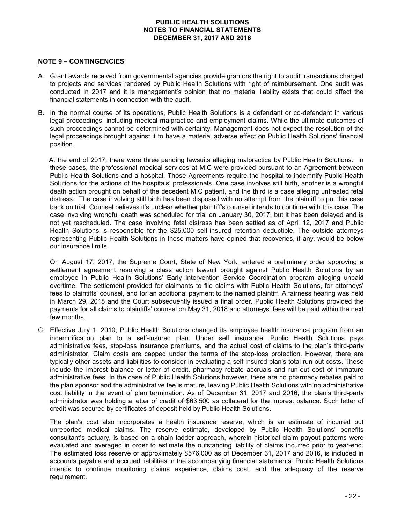# **NOTE 9 – CONTINGENCIES**

- A. Grant awards received from governmental agencies provide grantors the right to audit transactions charged to projects and services rendered by Public Health Solutions with right of reimbursement. One audit was conducted in 2017 and it is management's opinion that no material liability exists that could affect the financial statements in connection with the audit.
- B. In the normal course of its operations, Public Health Solutions is a defendant or co-defendant in various legal proceedings, including medical malpractice and employment claims. While the ultimate outcomes of such proceedings cannot be determined with certainty, Management does not expect the resolution of the legal proceedings brought against it to have a material adverse effect on Public Health Solutions' financial position.

 At the end of 2017, there were three pending lawsuits alleging malpractice by Public Health Solutions. In these cases, the professional medical services at MIC were provided pursuant to an Agreement between Public Health Solutions and a hospital. Those Agreements require the hospital to indemnify Public Health Solutions for the actions of the hospitals' professionals. One case involves still birth, another is a wrongful death action brought on behalf of the decedent MIC patient, and the third is a case alleging untreated fetal distress. The case involving still birth has been disposed with no attempt from the plaintiff to put this case back on trial. Counsel believes it's unclear whether plaintiff's counsel intends to continue with this case. The case involving wrongful death was scheduled for trial on January 30, 2017, but it has been delayed and is not yet rescheduled. The case involving fetal distress has been settled as of April 12, 2017 and Public Health Solutions is responsible for the \$25,000 self-insured retention deductible. The outside attorneys representing Public Health Solutions in these matters have opined that recoveries, if any, would be below our insurance limits.

On August 17, 2017, the Supreme Court, State of New York, entered a preliminary order approving a settlement agreement resolving a class action lawsuit brought against Public Health Solutions by an employee in Public Health Solutions' Early Intervention Service Coordination program alleging unpaid overtime. The settlement provided for claimants to file claims with Public Health Solutions, for attorneys' fees to plaintiffs' counsel, and for an additional payment to the named plaintiff. A fairness hearing was held in March 29, 2018 and the Court subsequently issued a final order. Public Health Solutions provided the payments for all claims to plaintiffs' counsel on May 31, 2018 and attorneys' fees will be paid within the next few months.

C. Effective July 1, 2010, Public Health Solutions changed its employee health insurance program from an indemnification plan to a self-insured plan. Under self insurance, Public Health Solutions pays administrative fees, stop-loss insurance premiums, and the actual cost of claims to the plan's third-party administrator. Claim costs are capped under the terms of the stop-loss protection. However, there are typically other assets and liabilities to consider in evaluating a self-insured plan's total run-out costs. These include the imprest balance or letter of credit, pharmacy rebate accruals and run-out cost of immature administrative fees. In the case of Public Health Solutions however, there are no pharmacy rebates paid to the plan sponsor and the administrative fee is mature, leaving Public Health Solutions with no administrative cost liability in the event of plan termination. As of December 31, 2017 and 2016, the plan's third-party administrator was holding a letter of credit of \$63,500 as collateral for the imprest balance. Such letter of credit was secured by certificates of deposit held by Public Health Solutions.

The plan's cost also incorporates a health insurance reserve, which is an estimate of incurred but unreported medical claims. The reserve estimate, developed by Public Health Solutions' benefits consultant's actuary, is based on a chain ladder approach, wherein historical claim payout patterns were evaluated and averaged in order to estimate the outstanding liability of claims incurred prior to year-end. The estimated loss reserve of approximately \$576,000 as of December 31, 2017 and 2016, is included in accounts payable and accrued liabilities in the accompanying financial statements. Public Health Solutions intends to continue monitoring claims experience, claims cost, and the adequacy of the reserve requirement.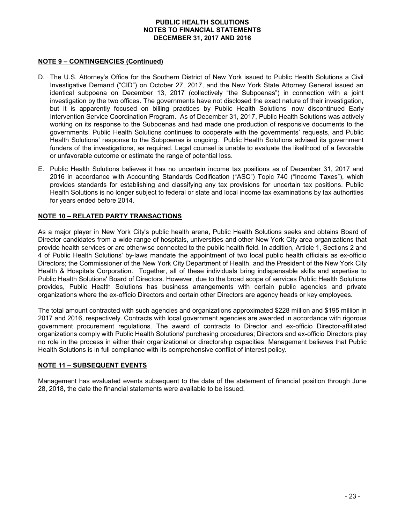# **NOTE 9 – CONTINGENCIES (Continued)**

- D. The U.S. Attorney's Office for the Southern District of New York issued to Public Health Solutions a Civil Investigative Demand ("CID") on October 27, 2017, and the New York State Attorney General issued an identical subpoena on December 13, 2017 (collectively "the Subpoenas") in connection with a joint investigation by the two offices. The governments have not disclosed the exact nature of their investigation, but it is apparently focused on billing practices by Public Health Solutions' now discontinued Early Intervention Service Coordination Program. As of December 31, 2017, Public Health Solutions was actively working on its response to the Subpoenas and had made one production of responsive documents to the governments. Public Health Solutions continues to cooperate with the governments' requests, and Public Health Solutions' response to the Subpoenas is ongoing. Public Health Solutions advised its government funders of the investigations, as required. Legal counsel is unable to evaluate the likelihood of a favorable or unfavorable outcome or estimate the range of potential loss.
- E. Public Health Solutions believes it has no uncertain income tax positions as of December 31, 2017 and 2016 in accordance with Accounting Standards Codification ("ASC") Topic 740 ("Income Taxes"), which provides standards for establishing and classifying any tax provisions for uncertain tax positions. Public Health Solutions is no longer subject to federal or state and local income tax examinations by tax authorities for years ended before 2014.

# **NOTE 10 – RELATED PARTY TRANSACTIONS**

As a major player in New York City's public health arena, Public Health Solutions seeks and obtains Board of Director candidates from a wide range of hospitals, universities and other New York City area organizations that provide health services or are otherwise connected to the public health field. In addition, Article 1, Sections 2 and 4 of Public Health Solutions' by-laws mandate the appointment of two local public health officials as ex-officio Directors; the Commissioner of the New York City Department of Health, and the President of the New York City Health & Hospitals Corporation. Together, all of these individuals bring indispensable skills and expertise to Public Health Solutions' Board of Directors. However, due to the broad scope of services Public Health Solutions provides, Public Health Solutions has business arrangements with certain public agencies and private organizations where the ex-officio Directors and certain other Directors are agency heads or key employees.

The total amount contracted with such agencies and organizations approximated \$228 million and \$195 million in 2017 and 2016, respectively. Contracts with local government agencies are awarded in accordance with rigorous government procurement regulations. The award of contracts to Director and ex-officio Director-affiliated organizations comply with Public Health Solutions' purchasing procedures; Directors and ex-officio Directors play no role in the process in either their organizational or directorship capacities. Management believes that Public Health Solutions is in full compliance with its comprehensive conflict of interest policy.

# **NOTE 11 – SUBSEQUENT EVENTS**

Management has evaluated events subsequent to the date of the statement of financial position through June 28, 2018, the date the financial statements were available to be issued.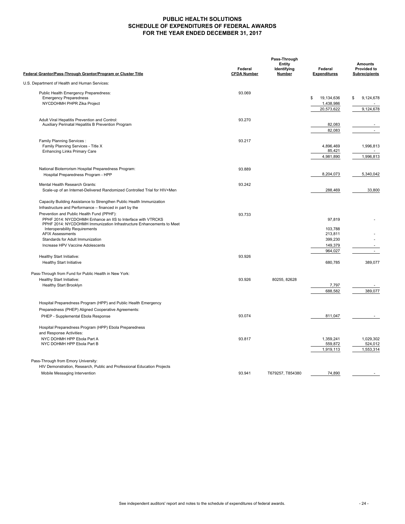#### **PUBLIC HEALTH SOLUTIONS SCHEDULE OF EXPENDITURES OF FEDERAL AWARDS FOR THE YEAR ENDED DECEMBER 31, 2017**

|                                                                                                                                                                                  | Federal            | Pass-Through<br><b>Entity</b><br>Identifying | Federal                 | <b>Amounts</b><br><b>Provided to</b> |
|----------------------------------------------------------------------------------------------------------------------------------------------------------------------------------|--------------------|----------------------------------------------|-------------------------|--------------------------------------|
| Federal Grantor/Pass-Through Grantor/Program or Cluster Title                                                                                                                    | <b>CFDA Number</b> | <b>Number</b>                                | <b>Expenditures</b>     | <b>Subrecipients</b>                 |
| U.S. Department of Health and Human Services:                                                                                                                                    |                    |                                              |                         |                                      |
| Public Health Emergency Preparedness:<br><b>Emergency Preparedness</b>                                                                                                           | 93.069             |                                              | \$<br>19,134,636        | \$<br>9,124,678                      |
| NYCDOHMH PHPR Zika Project                                                                                                                                                       |                    |                                              | 1,438,986<br>20,573,622 | 9,124,678                            |
| Adult Viral Hepatitis Prevention and Control:                                                                                                                                    | 93.270             |                                              |                         |                                      |
| Auxiliary Perinatal Hepatitis B Prevention Program                                                                                                                               |                    |                                              | 82,083<br>82,083        | $\sim$                               |
| Family Planning Services :                                                                                                                                                       | 93.217             |                                              |                         |                                      |
| Family Planning Services - Title X<br><b>Enhancing Links Primary Care</b>                                                                                                        |                    |                                              | 4,896,469<br>85,421     | 1,996,813                            |
|                                                                                                                                                                                  |                    |                                              | 4,981,890               | 1,996,813                            |
| National Bioterrorism Hospital Preparedness Program:                                                                                                                             | 93.889             |                                              | 8,204,073               | 5,340,042                            |
| Hospital Preparedness Program - HPP                                                                                                                                              |                    |                                              |                         |                                      |
| Mental Health Research Grants:<br>Scale-up of an Internet-Delivered Randomized Controlled Trial for HIV+Men                                                                      | 93.242             |                                              | 288,469                 | 33,800                               |
| Capacity Building Assistance to Strengthen Public Health Immunization<br>Infrastructure and Performance - financed in part by the                                                |                    |                                              |                         |                                      |
| Prevention and Public Health Fund (PPHF):<br>PPHF 2014: NYCDOHMH Enhance an IIS to Interface with VTRCKS<br>PPHF 2014: NYCDOHMH Immunization Infrastructure Enhancements to Meet | 93.733             |                                              | 97,819                  |                                      |
| Interoperability Requirements<br><b>AFIX Assessments</b>                                                                                                                         |                    |                                              | 103,788<br>213,811      |                                      |
| Standards for Adult Immunization<br>Increase HPV Vaccine Adolescents                                                                                                             |                    |                                              | 399,230<br>149,379      |                                      |
| Healthy Start Initiative:                                                                                                                                                        | 93.926             |                                              | 964,027                 | $\sim$                               |
| Healthy Start Initiative                                                                                                                                                         |                    |                                              | 680,785                 | 389,077                              |
| Pass-Through from Fund for Public Health in New York:<br>Healthy Start Initiative:                                                                                               | 93.926             | 80255, 82628                                 |                         |                                      |
| <b>Healthy Start Brooklyn</b>                                                                                                                                                    |                    |                                              | 7,797                   | 389,077                              |
|                                                                                                                                                                                  |                    |                                              | 688,582                 |                                      |
| Hospital Preparedness Program (HPP) and Public Health Emergency                                                                                                                  |                    |                                              |                         |                                      |
| Preparedness (PHEP) Aligned Cooperative Agreements:<br>PHEP - Supplemental Ebola Response                                                                                        | 93.074             |                                              | 811,047                 |                                      |
| Hospital Preparedness Program (HPP) Ebola Preparedness                                                                                                                           |                    |                                              |                         |                                      |
| and Response Activities:                                                                                                                                                         |                    |                                              |                         |                                      |
| NYC DOHMH HPP Ebola Part A<br>NYC DOHMH HPP Ebola Part B                                                                                                                         | 93.817             |                                              | 1,359,241<br>559,872    | 1,029,302<br>524,012                 |
|                                                                                                                                                                                  |                    |                                              | 1,919,113               | 1,553,314                            |
| Pass-Through from Emory University:<br>HIV Demonstration, Research, Public and Professional Education Projects                                                                   |                    |                                              |                         |                                      |
| Mobile Messaging Intervention                                                                                                                                                    | 93.941             | T679257, T854380                             | 74,890                  |                                      |
|                                                                                                                                                                                  |                    |                                              |                         |                                      |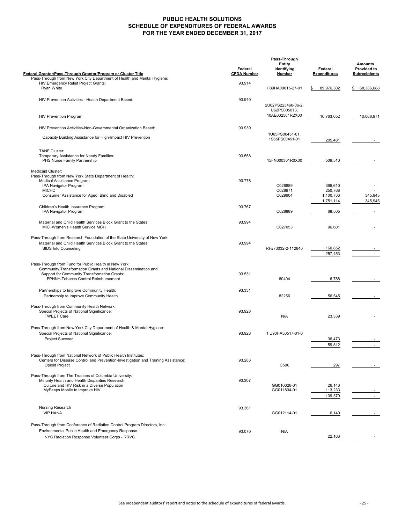#### **PUBLIC HEALTH SOLUTIONS SCHEDULE OF EXPENDITURES OF FEDERAL AWARDS FOR THE YEAR ENDED DECEMBER 31, 2017**

|                                                                                                                                                      | Pass-Through                  |                                        |                                |                                                              |
|------------------------------------------------------------------------------------------------------------------------------------------------------|-------------------------------|----------------------------------------|--------------------------------|--------------------------------------------------------------|
| Federal Grantor/Pass-Through Grantor/Program or Cluster Title                                                                                        | Federal<br><b>CFDA Number</b> | <b>Entity</b><br>Identifying<br>Number | Federal<br><b>Expenditures</b> | <b>Amounts</b><br><b>Provided to</b><br><b>Subrecipients</b> |
| Pass-Through from New York City Department of Health and Mental Hygiene:                                                                             |                               |                                        |                                |                                                              |
| HIV Emergency Relief Project Grants:<br>Ryan White                                                                                                   | 93.914                        | H89HA00015-27-01                       | 89,976,302<br>\$               | 68,386,688<br>\$                                             |
| HIV Prevention Activities - Health Department Based:                                                                                                 | 93.940                        | 2U62PS223460-06-2,<br>U62PS005013,     |                                |                                                              |
| <b>HIV Prevention Program</b>                                                                                                                        |                               | 10AE002501R2X00                        | 16,763,052                     | 10,068,971                                                   |
| HIV Prevention Activities-Non-Governmental Organization Based:                                                                                       | 93.939                        |                                        |                                |                                                              |
| Capacity Building Assistance for High-Impact HIV Prevention                                                                                          |                               | 1U65PS00451-01,<br>1S65PS00451-01      | 205,481                        |                                                              |
| <b>TANF Cluster:</b>                                                                                                                                 |                               |                                        |                                |                                                              |
| Temporary Assistance for Needy Families:<br>PHS Nurse Family Partnership                                                                             | 93.558                        | 15FN000301R0X00                        | 509,510                        |                                                              |
| Medicaid Cluster:                                                                                                                                    |                               |                                        |                                |                                                              |
| Pass-Through from New York State Department of Health:                                                                                               |                               |                                        |                                |                                                              |
| Medical Assistance Program:                                                                                                                          | 93.778                        |                                        |                                |                                                              |
| IPA Navigator Program                                                                                                                                |                               | C028889                                | 399,610                        |                                                              |
| <b>MICHC</b><br>Consumer Assistance for Aged, Blind and Disabled                                                                                     |                               | C028971<br>C029904                     | 250,768<br>1,100,736           | 345,945                                                      |
|                                                                                                                                                      |                               |                                        | 1,751,114                      | 345,945                                                      |
| Children's Health Insurance Program:                                                                                                                 | 93.767                        |                                        |                                |                                                              |
| IPA Navigator Program                                                                                                                                |                               | C028889                                | 68,505                         |                                                              |
| Maternal and Child Health Services Block Grant to the States:                                                                                        | 93.994                        |                                        |                                |                                                              |
| MIC-Women's Health Service MCH                                                                                                                       |                               | C027053                                | 96,601                         |                                                              |
| Pass-Through from Research Foundation of the State University of New York:                                                                           |                               |                                        |                                |                                                              |
| Maternal and Child Health Services Block Grant to the States:                                                                                        | 93.994                        |                                        |                                |                                                              |
| SIDS Info Counseling                                                                                                                                 |                               | RF#73032-2-112840                      | 160,852                        |                                                              |
|                                                                                                                                                      |                               |                                        | 257,453                        |                                                              |
|                                                                                                                                                      |                               |                                        |                                |                                                              |
| Pass-Through from Fund for Public Health in New York:                                                                                                |                               |                                        |                                |                                                              |
| Community Transformation Grants and National Dissemination and<br>Support for Community Transformation Grants:                                       | 93.531                        |                                        |                                |                                                              |
| FPHNY-Tobacco Control Reimbursement                                                                                                                  |                               | 80404                                  | 6,788                          |                                                              |
|                                                                                                                                                      |                               |                                        |                                |                                                              |
| Partnerships to Improve Community Health:                                                                                                            | 93.331                        |                                        |                                |                                                              |
| Partnership to Improve Community Health                                                                                                              |                               | 82256                                  | 56,545                         |                                                              |
|                                                                                                                                                      |                               |                                        |                                |                                                              |
| Pass-Through from Community Health Network:<br>Special Projects of National Significance:                                                            | 93.928                        |                                        |                                |                                                              |
| <b>TWEET Care</b>                                                                                                                                    |                               | N/A                                    | 23,339                         |                                                              |
|                                                                                                                                                      |                               |                                        |                                |                                                              |
| Pass-Through from New York City Department of Health & Mental Hygiene:                                                                               |                               |                                        |                                |                                                              |
| Special Projects of National Significance:                                                                                                           | 93.928                        | 1 U90HA30517-01-0                      |                                |                                                              |
| <b>Project Succeed</b>                                                                                                                               |                               |                                        | 36,473                         |                                                              |
|                                                                                                                                                      |                               |                                        | 59,812                         | $\sim$                                                       |
|                                                                                                                                                      |                               |                                        |                                |                                                              |
| Pass-Through from National Network of Public Health Institutes:<br>Centers for Disease Control and Prevention-Investigation and Training Assistance: | 93.283                        |                                        |                                |                                                              |
| Opioid Project                                                                                                                                       |                               | C500                                   | 297                            |                                                              |
|                                                                                                                                                      |                               |                                        |                                |                                                              |
| Pass-Through from The Trustees of Columbia University:                                                                                               |                               |                                        |                                |                                                              |
| Minority Health and Health Disparities Research:<br>Culture and HIV Risk in a Diverse Population                                                     | 93.307                        | GG010626-01                            | 26,146                         |                                                              |
| MyPeeps Mobile to Improve HIV                                                                                                                        |                               | GG011834-01                            | 113,233                        |                                                              |
|                                                                                                                                                      |                               |                                        | 139,379                        | $\sim$                                                       |
|                                                                                                                                                      |                               |                                        |                                |                                                              |
| Nursing Research<br><b>VIP HANA</b>                                                                                                                  | 93.361                        | GG012114-01                            | 6,140                          |                                                              |
|                                                                                                                                                      |                               |                                        |                                |                                                              |
| Pass-Through from Conference of Radiation Control Program Directors, Inc:                                                                            |                               |                                        |                                |                                                              |
| Environmental Public Health and Emergency Response:                                                                                                  | 93.070                        | N/A                                    |                                |                                                              |
| NYC Radiation Response Volunteer Corps - RRVC                                                                                                        |                               |                                        | 22,163                         |                                                              |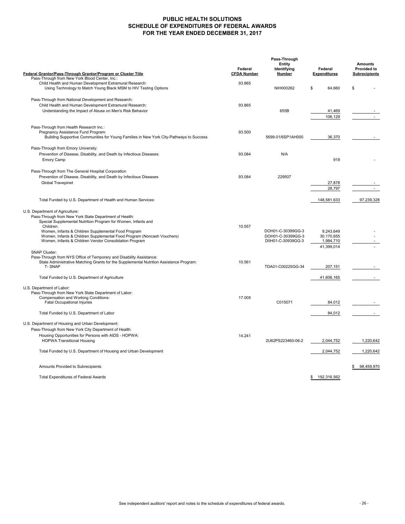#### **PUBLIC HEALTH SOLUTIONS SCHEDULE OF EXPENDITURES OF FEDERAL AWARDS FOR THE YEAR ENDED DECEMBER 31, 2017**

| Federal Grantor/Pass-Through Grantor/Program or Cluster Title<br>Pass-Through from New York Blood Center, Inc.:<br>Child Health and Human Development Extramural Research:<br>Using Technology to Match Young Black MSM to HIV Testing Options                                                                                                                     | Federal<br><b>CFDA Number</b> | Pass-Through<br>Entity<br>Identifying<br><b>Number</b>      | Federal<br><b>Expenditures</b>                     | <b>Amounts</b><br><b>Provided to</b><br><b>Subrecipients</b> |
|--------------------------------------------------------------------------------------------------------------------------------------------------------------------------------------------------------------------------------------------------------------------------------------------------------------------------------------------------------------------|-------------------------------|-------------------------------------------------------------|----------------------------------------------------|--------------------------------------------------------------|
|                                                                                                                                                                                                                                                                                                                                                                    | 93.865                        | NIH000262                                                   | \$<br>64,660                                       | \$                                                           |
| Pass-Through from National Development and Research:<br>Child Health and Human Development Extramural Research:<br>Understanding the Impact of Abuse on Men's Risk Behavior                                                                                                                                                                                        | 93.865                        | 655B                                                        | 41,469<br>106,129                                  |                                                              |
| Pass-Through from Health Research Inc.:<br>Pregnancy Assistance Fund Program:<br>Building Supportive Communities for Young Families in New York City-Pathways to Success                                                                                                                                                                                           | 93.500                        | 5699-01/6SP1AH000                                           | 36,370                                             |                                                              |
| Pass-Through from Emory University:<br>Prevention of Disease, Disability, and Death by Infectious Diseases:<br><b>Emory Camp</b>                                                                                                                                                                                                                                   | 93.084                        | N/A                                                         | 919                                                |                                                              |
| Pass-Through from The General Hospital Corporation<br>Prevention of Disease, Disability, and Death by Infectious Diseases<br><b>Global Travepinet</b>                                                                                                                                                                                                              | 93.084                        | 229507                                                      | 27,878<br>28,797                                   | ×.                                                           |
| Total Funded by U.S. Department of Health and Human Services:                                                                                                                                                                                                                                                                                                      |                               |                                                             | 148,581,633                                        | 97,239,328                                                   |
| U.S. Department of Agriculture:<br>Pass-Through from New York State Department of Health:<br>Special Supplemental Nutrition Program for Women, Infants and<br>Children:<br>Women, Infants & Children Supplemental Food Program<br>Women, Infants & Children Supplemental Food Program (Noncash Vouchers)<br>Women, Infants & Children Vendor Consolidation Program | 10.557                        | DOH01-C-30399GG-3<br>DOH01-C-30399GG-3<br>D0H01-C-30939GG-3 | 9,243,649<br>30,170,655<br>1,984,710<br>41,399,014 |                                                              |
| <b>SNAP Cluster:</b><br>Pass-Through from NYS Office of Temporary and Disability Assistance:<br>State Administrative Matching Grants for the Supplemental Nutrition Assistance Program:<br><b>T-SNAP</b><br>Total Funded by U.S. Department of Agriculture                                                                                                         | 10.561                        | TDA01-C00225GG-34                                           | 207,151<br>41,606,165                              |                                                              |
| U.S. Department of Labor:<br>Pass-Through from New York State Department of Labor:<br>Compensation and Working Conditions:<br><b>Fatal Occupational Injuries</b><br>Total Funded by U.S. Department of Labor                                                                                                                                                       | 17.005                        | C015071                                                     | 84,012<br>84,012                                   |                                                              |
| U.S. Department of Housing and Urban Development:<br>Pass-Through from New York City Department of Health:<br>Housing Opportunities for Persons with AIDS - HOPWA:<br><b>HOPWA Transitional Housing</b><br>Total Funded by U.S. Department of Housing and Urban Development                                                                                        | 14.241                        | 2U62PS223460-06-2                                           | 2,044,752<br>2,044,752                             | 1,220,642<br>1,220,642                                       |
| Amounts Provided to Subrecipients                                                                                                                                                                                                                                                                                                                                  |                               |                                                             |                                                    | \$<br>98,459,970                                             |
| <b>Total Expenditures of Federal Awards</b>                                                                                                                                                                                                                                                                                                                        |                               |                                                             | \$192,316,562                                      |                                                              |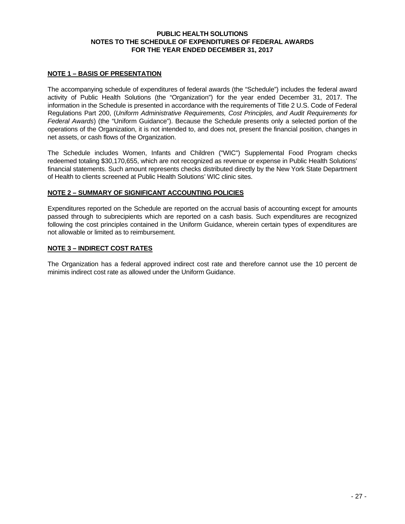## **PUBLIC HEALTH SOLUTIONS NOTES TO THE SCHEDULE OF EXPENDITURES OF FEDERAL AWARDS FOR THE YEAR ENDED DECEMBER 31, 2017**

# **NOTE 1 – BASIS OF PRESENTATION**

The accompanying schedule of expenditures of federal awards (the "Schedule") includes the federal award activity of Public Health Solutions (the "Organization") for the year ended December 31, 2017. The information in the Schedule is presented in accordance with the requirements of Title 2 U.S. Code of Federal Regulations Part 200, (*Uniform Administrative Requirements, Cost Principles, and Audit Requirements for Federal Awards*) (the "Uniform Guidance"). Because the Schedule presents only a selected portion of the operations of the Organization, it is not intended to, and does not, present the financial position, changes in net assets, or cash flows of the Organization.

The Schedule includes Women, Infants and Children ("WIC") Supplemental Food Program checks redeemed totaling \$30,170,655, which are not recognized as revenue or expense in Public Health Solutions' financial statements. Such amount represents checks distributed directly by the New York State Department of Health to clients screened at Public Health Solutions' WIC clinic sites.

#### **NOTE 2 – SUMMARY OF SIGNIFICANT ACCOUNTING POLICIES**

Expenditures reported on the Schedule are reported on the accrual basis of accounting except for amounts passed through to subrecipients which are reported on a cash basis. Such expenditures are recognized following the cost principles contained in the Uniform Guidance, wherein certain types of expenditures are not allowable or limited as to reimbursement.

#### **NOTE 3 – INDIRECT COST RATES**

The Organization has a federal approved indirect cost rate and therefore cannot use the 10 percent de minimis indirect cost rate as allowed under the Uniform Guidance.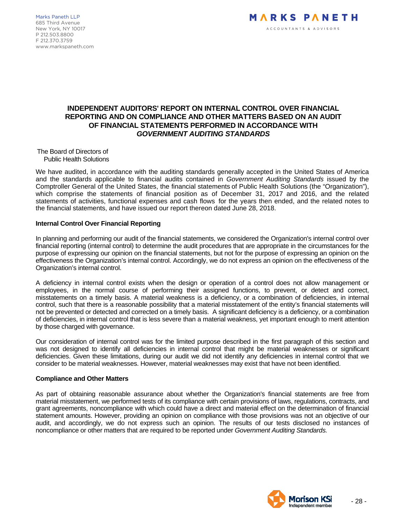Marks Paneth LLP 685 Third Avenue New York, NY 10017 P 212.503.8800 F 212.370.3759 www.markspaneth.com



# **INDEPENDENT AUDITORS' REPORT ON INTERNAL CONTROL OVER FINANCIAL REPORTING AND ON COMPLIANCE AND OTHER MATTERS BASED ON AN AUDIT OF FINANCIAL STATEMENTS PERFORMED IN ACCORDANCE WITH**  *GOVERNMENT AUDITING STANDARDS*

The Board of Directors of Public Health Solutions

We have audited, in accordance with the auditing standards generally accepted in the United States of America and the standards applicable to financial audits contained in *Government Auditing Standards* issued by the Comptroller General of the United States, the financial statements of Public Health Solutions (the "Organization"), which comprise the statements of financial position as of December 31, 2017 and 2016, and the related statements of activities, functional expenses and cash flows for the years then ended, and the related notes to the financial statements, and have issued our report thereon dated June 28, 2018.

#### **Internal Control Over Financial Reporting**

In planning and performing our audit of the financial statements, we considered the Organization's internal control over financial reporting (internal control) to determine the audit procedures that are appropriate in the circumstances for the purpose of expressing our opinion on the financial statements, but not for the purpose of expressing an opinion on the effectiveness the Organization's internal control. Accordingly, we do not express an opinion on the effectiveness of the Organization's internal control.

A deficiency in internal control exists when the design or operation of a control does not allow management or employees, in the normal course of performing their assigned functions, to prevent, or detect and correct, misstatements on a timely basis. A material weakness is a deficiency, or a combination of deficiencies, in internal control, such that there is a reasonable possibility that a material misstatement of the entity's financial statements will not be prevented or detected and corrected on a timely basis. A significant deficiency is a deficiency, or a combination of deficiencies, in internal control that is less severe than a material weakness, yet important enough to merit attention by those charged with governance.

Our consideration of internal control was for the limited purpose described in the first paragraph of this section and was not designed to identify all deficiencies in internal control that might be material weaknesses or significant deficiencies. Given these limitations, during our audit we did not identify any deficiencies in internal control that we consider to be material weaknesses. However, material weaknesses may exist that have not been identified.

#### **Compliance and Other Matters**

As part of obtaining reasonable assurance about whether the Organization's financial statements are free from material misstatement, we performed tests of its compliance with certain provisions of laws, regulations, contracts, and grant agreements, noncompliance with which could have a direct and material effect on the determination of financial statement amounts. However, providing an opinion on compliance with those provisions was not an objective of our audit, and accordingly, we do not express such an opinion. The results of our tests disclosed no instances of noncompliance or other matters that are required to be reported under *Government Auditing Standards.*

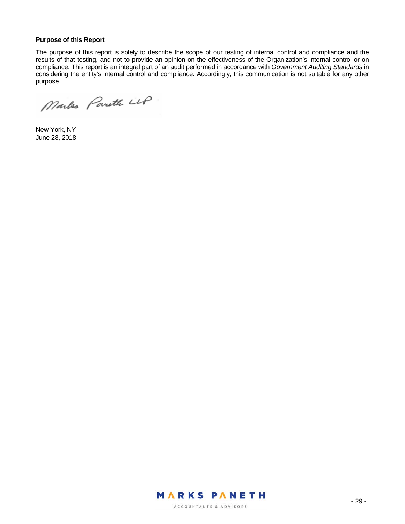#### **Purpose of this Report**

The purpose of this report is solely to describe the scope of our testing of internal control and compliance and the results of that testing, and not to provide an opinion on the effectiveness of the Organization's internal control or on compliance. This report is an integral part of an audit performed in accordance with *Government Auditing Standards* in considering the entity's internal control and compliance. Accordingly, this communication is not suitable for any other purpose.

Marke Pareth LLP

New York, NY June 28, 2018

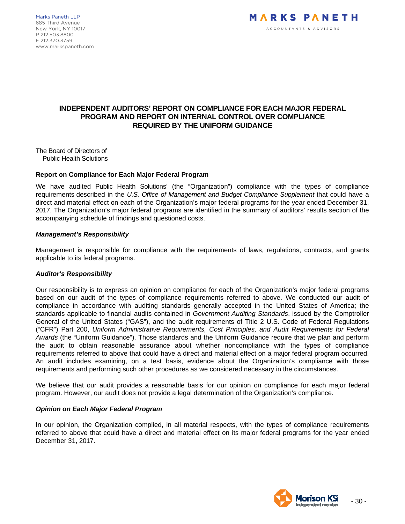Marks Paneth LLP 685 Third Avenue New York, NY 10017 P 212.503.8800 F 212.370.3759 www.markspaneth.com



# **INDEPENDENT AUDITORS' REPORT ON COMPLIANCE FOR EACH MAJOR FEDERAL PROGRAM AND REPORT ON INTERNAL CONTROL OVER COMPLIANCE REQUIRED BY THE UNIFORM GUIDANCE**

The Board of Directors of Public Health Solutions

#### **Report on Compliance for Each Major Federal Program**

We have audited Public Health Solutions' (the "Organization") compliance with the types of compliance requirements described in the *U.S. Office of Management and Budget Compliance Supplement* that could have a direct and material effect on each of the Organization's major federal programs for the year ended December 31, 2017. The Organization's major federal programs are identified in the summary of auditors' results section of the accompanying schedule of findings and questioned costs.

#### *Management's Responsibility*

Management is responsible for compliance with the requirements of laws, regulations, contracts, and grants applicable to its federal programs.

#### *Auditor's Responsibility*

Our responsibility is to express an opinion on compliance for each of the Organization's major federal programs based on our audit of the types of compliance requirements referred to above. We conducted our audit of compliance in accordance with auditing standards generally accepted in the United States of America; the standards applicable to financial audits contained in *Government Auditing Standards*, issued by the Comptroller General of the United States ("GAS"), and the audit requirements of Title 2 U.S. Code of Federal Regulations ("CFR") Part 200, *Uniform Administrative Requirements, Cost Principles, and Audit Requirements for Federal Awards* (the "Uniform Guidance"). Those standards and the Uniform Guidance require that we plan and perform the audit to obtain reasonable assurance about whether noncompliance with the types of compliance requirements referred to above that could have a direct and material effect on a major federal program occurred. An audit includes examining, on a test basis, evidence about the Organization's compliance with those requirements and performing such other procedures as we considered necessary in the circumstances.

We believe that our audit provides a reasonable basis for our opinion on compliance for each major federal program. However, our audit does not provide a legal determination of the Organization's compliance.

#### *Opinion on Each Major Federal Program*

In our opinion, the Organization complied, in all material respects, with the types of compliance requirements referred to above that could have a direct and material effect on its major federal programs for the year ended December 31, 2017.

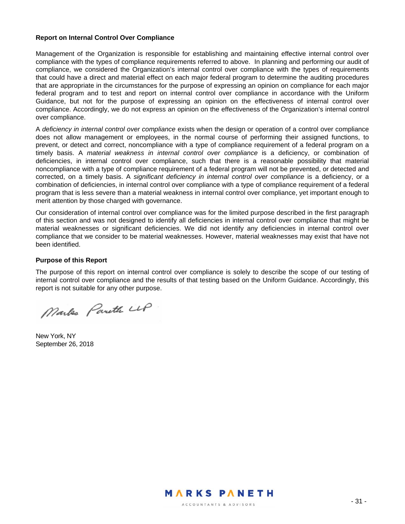#### **Report on Internal Control Over Compliance**

Management of the Organization is responsible for establishing and maintaining effective internal control over compliance with the types of compliance requirements referred to above. In planning and performing our audit of compliance, we considered the Organization's internal control over compliance with the types of requirements that could have a direct and material effect on each major federal program to determine the auditing procedures that are appropriate in the circumstances for the purpose of expressing an opinion on compliance for each major federal program and to test and report on internal control over compliance in accordance with the Uniform Guidance, but not for the purpose of expressing an opinion on the effectiveness of internal control over compliance. Accordingly, we do not express an opinion on the effectiveness of the Organization's internal control over compliance.

A *deficiency in internal control over compliance* exists when the design or operation of a control over compliance does not allow management or employees, in the normal course of performing their assigned functions, to prevent, or detect and correct, noncompliance with a type of compliance requirement of a federal program on a timely basis. A *material weakness in internal control over compliance* is a deficiency, or combination of deficiencies, in internal control over compliance, such that there is a reasonable possibility that material noncompliance with a type of compliance requirement of a federal program will not be prevented, or detected and corrected, on a timely basis. A *significant deficiency in internal control over compliance* is a deficiency, or a combination of deficiencies, in internal control over compliance with a type of compliance requirement of a federal program that is less severe than a material weakness in internal control over compliance, yet important enough to merit attention by those charged with governance.

Our consideration of internal control over compliance was for the limited purpose described in the first paragraph of this section and was not designed to identify all deficiencies in internal control over compliance that might be material weaknesses or significant deficiencies. We did not identify any deficiencies in internal control over compliance that we consider to be material weaknesses. However, material weaknesses may exist that have not been identified.

#### **Purpose of this Report**

The purpose of this report on internal control over compliance is solely to describe the scope of our testing of internal control over compliance and the results of that testing based on the Uniform Guidance. Accordingly, this report is not suitable for any other purpose.

Marks Pareth LLP

New York, NY September 26, 2018

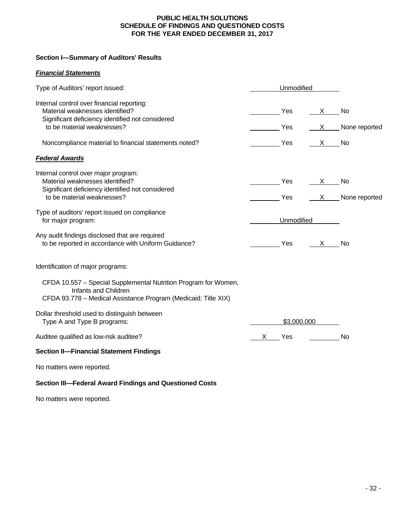# **PUBLIC HEALTH SOLUTIONS SCHEDULE OF FINDINGS AND QUESTIONED COSTS FOR THE YEAR ENDED DECEMBER 31, 2017**

# **Section I—Summary of Auditors' Results**

# *Financial Statements*

| Type of Auditors' report issued:                                                                                                                          |                   | Unmodified  |                               |                 |
|-----------------------------------------------------------------------------------------------------------------------------------------------------------|-------------------|-------------|-------------------------------|-----------------|
| Internal control over financial reporting:<br>Material weaknesses identified?<br>Significant deficiency identified not considered                         |                   | Yes         | $\mathsf{X}$ and $\mathsf{X}$ | No.             |
| to be material weaknesses?                                                                                                                                |                   | Yes         |                               | X None reported |
| Noncompliance material to financial statements noted?                                                                                                     | <b>Example ST</b> |             | X No                          |                 |
| <b>Federal Awards</b>                                                                                                                                     |                   |             |                               |                 |
| Internal control over major program:<br>Material weaknesses identified?                                                                                   |                   | Yes         | $\mathsf{X}$                  | No              |
| Significant deficiency identified not considered<br>to be material weaknesses?                                                                            |                   | <b>Yes</b>  |                               | X None reported |
| Type of auditors' report issued on compliance<br>for major program:                                                                                       |                   | Unmodified  |                               |                 |
| Any audit findings disclosed that are required<br>to be reported in accordance with Uniform Guidance?                                                     |                   | Yes         | X No                          |                 |
| Identification of major programs:                                                                                                                         |                   |             |                               |                 |
| CFDA 10.557 - Special Supplemental Nutrition Program for Women,<br>Infants and Children<br>CFDA 93.778 - Medical Assistance Program (Medicaid; Title XIX) |                   |             |                               |                 |
| Dollar threshold used to distinguish between<br>Type A and Type B programs:                                                                               |                   | \$3,000,000 |                               |                 |
| Auditee qualified as low-risk auditee?                                                                                                                    |                   | X Yes       |                               | No              |
| <b>Section II-Financial Statement Findings</b>                                                                                                            |                   |             |                               |                 |

No matters were reported.

# **Section III—Federal Award Findings and Questioned Costs**

No matters were reported.